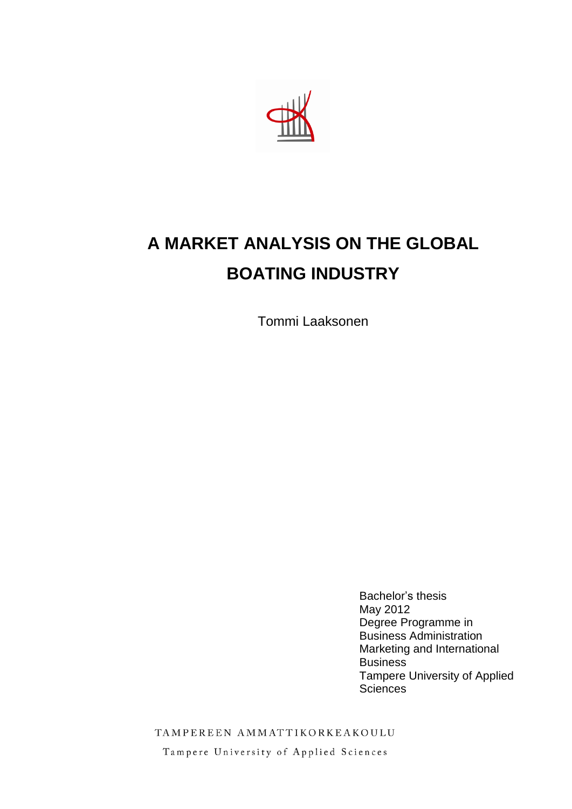

# **A MARKET ANALYSIS ON THE GLOBAL BOATING INDUSTRY**

Tommi Laaksonen

Bachelor's thesis May 2012 Degree Programme in Business Administration Marketing and International Business Tampere University of Applied **Sciences** 

TAMPEREEN AMMATTIKORKEAKOULU

Tampere University of Applied Sciences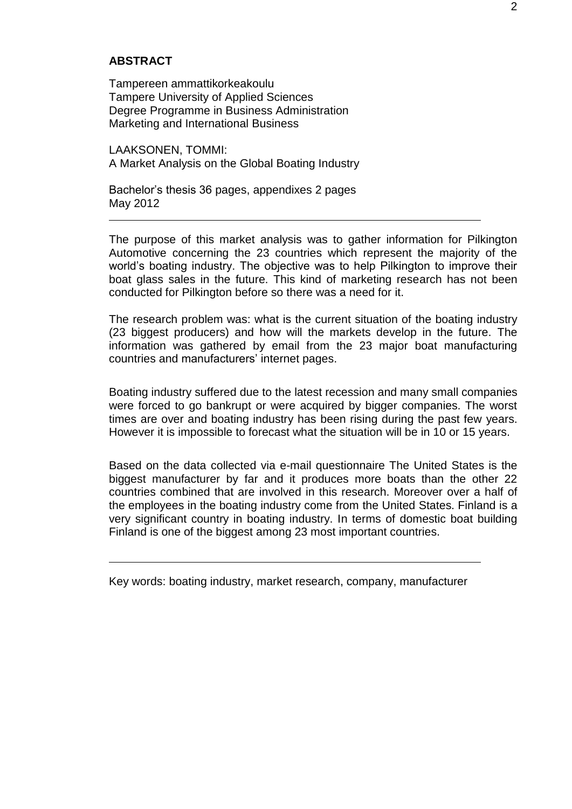#### **ABSTRACT**

Tampereen ammattikorkeakoulu Tampere University of Applied Sciences Degree Programme in Business Administration Marketing and International Business

LAAKSONEN, TOMMI: A Market Analysis on the Global Boating Industry

Bachelor's thesis 36 pages, appendixes 2 pages May 2012

The purpose of this market analysis was to gather information for Pilkington Automotive concerning the 23 countries which represent the majority of the world's boating industry. The objective was to help Pilkington to improve their boat glass sales in the future. This kind of marketing research has not been conducted for Pilkington before so there was a need for it.

The research problem was: what is the current situation of the boating industry (23 biggest producers) and how will the markets develop in the future. The information was gathered by email from the 23 major boat manufacturing countries and manufacturers' internet pages.

Boating industry suffered due to the latest recession and many small companies were forced to go bankrupt or were acquired by bigger companies. The worst times are over and boating industry has been rising during the past few years. However it is impossible to forecast what the situation will be in 10 or 15 years.

Based on the data collected via e-mail questionnaire The United States is the biggest manufacturer by far and it produces more boats than the other 22 countries combined that are involved in this research. Moreover over a half of the employees in the boating industry come from the United States. Finland is a very significant country in boating industry. In terms of domestic boat building Finland is one of the biggest among 23 most important countries.

Key words: boating industry, market research, company, manufacturer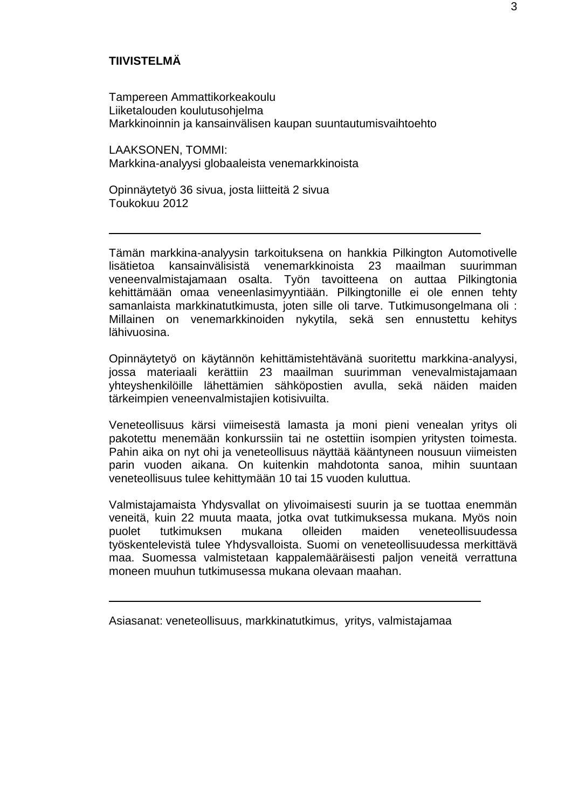# **TIIVISTELMÄ**

Tampereen Ammattikorkeakoulu Liiketalouden koulutusohjelma Markkinoinnin ja kansainvälisen kaupan suuntautumisvaihtoehto

LAAKSONEN, TOMMI: Markkina-analyysi globaaleista venemarkkinoista

Opinnäytetyö 36 sivua, josta liitteitä 2 sivua Toukokuu 2012

Tämän markkina-analyysin tarkoituksena on hankkia Pilkington Automotivelle lisätietoa kansainvälisistä venemarkkinoista 23 maailman suurimman veneenvalmistajamaan osalta. Työn tavoitteena on auttaa Pilkingtonia kehittämään omaa veneenlasimyyntiään. Pilkingtonille ei ole ennen tehty samanlaista markkinatutkimusta, joten sille oli tarve. Tutkimusongelmana oli : Millainen on venemarkkinoiden nykytila, sekä sen ennustettu kehitys lähivuosina.

Opinnäytetyö on käytännön kehittämistehtävänä suoritettu markkina-analyysi, jossa materiaali kerättiin 23 maailman suurimman venevalmistajamaan yhteyshenkilöille lähettämien sähköpostien avulla, sekä näiden maiden tärkeimpien veneenvalmistajien kotisivuilta.

Veneteollisuus kärsi viimeisestä lamasta ja moni pieni venealan yritys oli pakotettu menemään konkurssiin tai ne ostettiin isompien yritysten toimesta. Pahin aika on nyt ohi ja veneteollisuus näyttää kääntyneen nousuun viimeisten parin vuoden aikana. On kuitenkin mahdotonta sanoa, mihin suuntaan veneteollisuus tulee kehittymään 10 tai 15 vuoden kuluttua.

Valmistajamaista Yhdysvallat on ylivoimaisesti suurin ja se tuottaa enemmän veneitä, kuin 22 muuta maata, jotka ovat tutkimuksessa mukana. Myös noin puolet tutkimuksen mukana olleiden maiden veneteollisuudessa työskentelevistä tulee Yhdysvalloista. Suomi on veneteollisuudessa merkittävä maa. Suomessa valmistetaan kappalemääräisesti paljon veneitä verrattuna moneen muuhun tutkimusessa mukana olevaan maahan.

Asiasanat: veneteollisuus, markkinatutkimus, yritys, valmistajamaa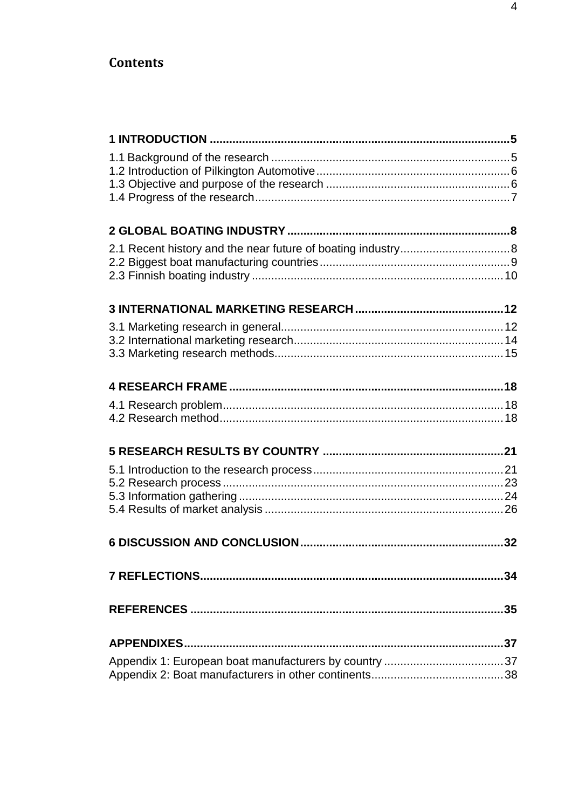# **Contents**

| 34 |
|----|
|    |
|    |
|    |
|    |
|    |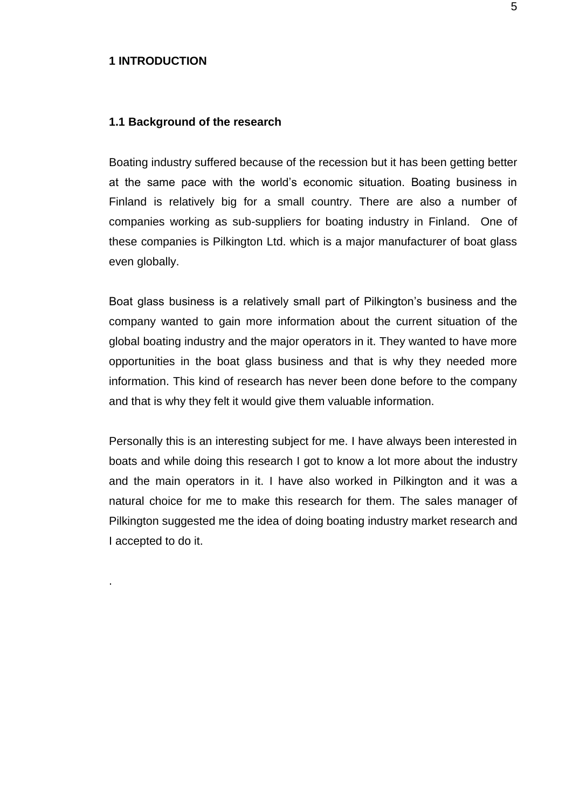#### <span id="page-4-0"></span>**1 INTRODUCTION**

.

# <span id="page-4-1"></span>**1.1 Background of the research**

Boating industry suffered because of the recession but it has been getting better at the same pace with the world's economic situation. Boating business in Finland is relatively big for a small country. There are also a number of companies working as sub-suppliers for boating industry in Finland. One of these companies is Pilkington Ltd. which is a major manufacturer of boat glass even globally.

Boat glass business is a relatively small part of Pilkington's business and the company wanted to gain more information about the current situation of the global boating industry and the major operators in it. They wanted to have more opportunities in the boat glass business and that is why they needed more information. This kind of research has never been done before to the company and that is why they felt it would give them valuable information.

Personally this is an interesting subject for me. I have always been interested in boats and while doing this research I got to know a lot more about the industry and the main operators in it. I have also worked in Pilkington and it was a natural choice for me to make this research for them. The sales manager of Pilkington suggested me the idea of doing boating industry market research and I accepted to do it.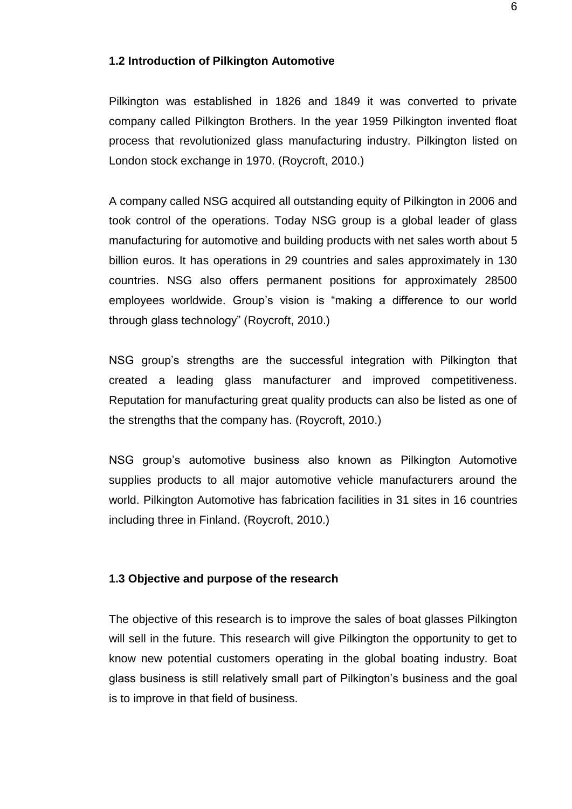### <span id="page-5-0"></span>**1.2 Introduction of Pilkington Automotive**

Pilkington was established in 1826 and 1849 it was converted to private company called Pilkington Brothers. In the year 1959 Pilkington invented float process that revolutionized glass manufacturing industry. Pilkington listed on London stock exchange in 1970. (Roycroft, 2010.)

A company called NSG acquired all outstanding equity of Pilkington in 2006 and took control of the operations. Today NSG group is a global leader of glass manufacturing for automotive and building products with net sales worth about 5 billion euros. It has operations in 29 countries and sales approximately in 130 countries. NSG also offers permanent positions for approximately 28500 employees worldwide. Group's vision is "making a difference to our world through glass technology" (Roycroft, 2010.)

NSG group's strengths are the successful integration with Pilkington that created a leading glass manufacturer and improved competitiveness. Reputation for manufacturing great quality products can also be listed as one of the strengths that the company has. (Roycroft, 2010.)

NSG group's automotive business also known as Pilkington Automotive supplies products to all major automotive vehicle manufacturers around the world. Pilkington Automotive has fabrication facilities in 31 sites in 16 countries including three in Finland. (Roycroft, 2010.)

# <span id="page-5-1"></span>**1.3 Objective and purpose of the research**

The objective of this research is to improve the sales of boat glasses Pilkington will sell in the future. This research will give Pilkington the opportunity to get to know new potential customers operating in the global boating industry. Boat glass business is still relatively small part of Pilkington's business and the goal is to improve in that field of business.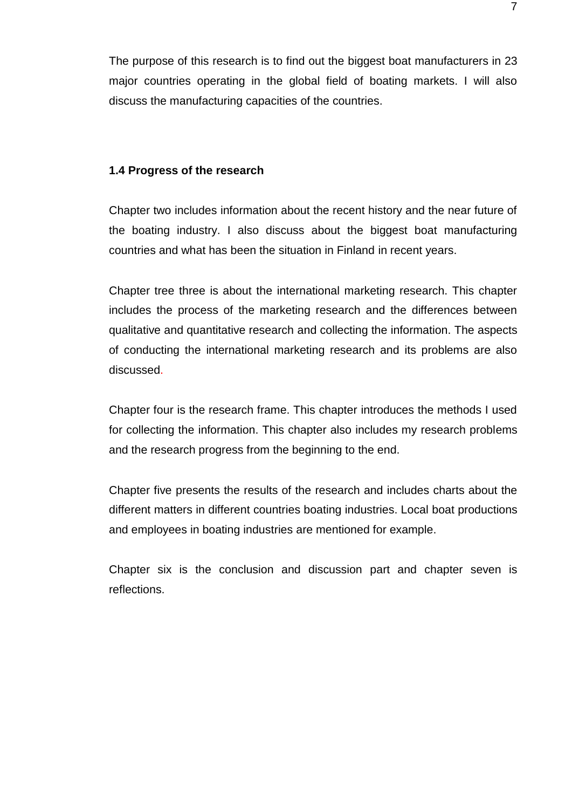The purpose of this research is to find out the biggest boat manufacturers in 23 major countries operating in the global field of boating markets. I will also discuss the manufacturing capacities of the countries.

## <span id="page-6-0"></span>**1.4 Progress of the research**

Chapter two includes information about the recent history and the near future of the boating industry. I also discuss about the biggest boat manufacturing countries and what has been the situation in Finland in recent years.

Chapter tree three is about the international marketing research. This chapter includes the process of the marketing research and the differences between qualitative and quantitative research and collecting the information. The aspects of conducting the international marketing research and its problems are also discussed.

Chapter four is the research frame. This chapter introduces the methods I used for collecting the information. This chapter also includes my research problems and the research progress from the beginning to the end.

Chapter five presents the results of the research and includes charts about the different matters in different countries boating industries. Local boat productions and employees in boating industries are mentioned for example.

Chapter six is the conclusion and discussion part and chapter seven is reflections.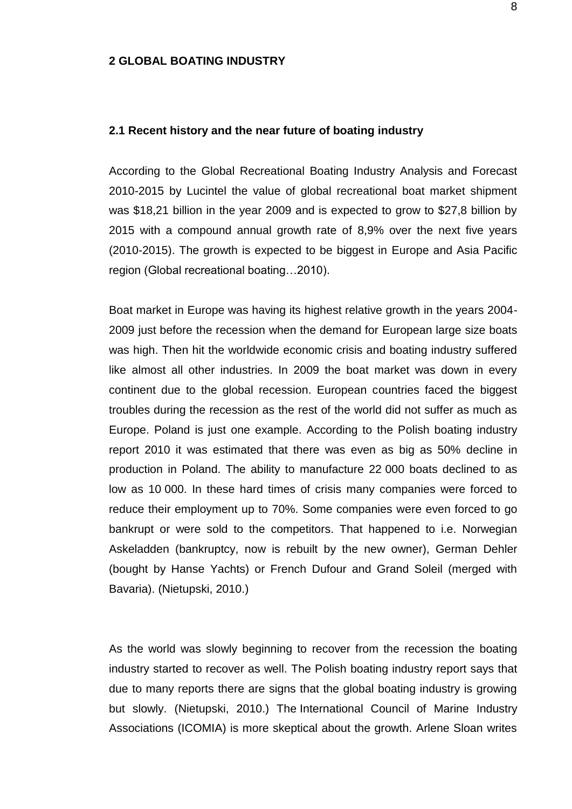#### <span id="page-7-0"></span>**2 GLOBAL BOATING INDUSTRY**

#### <span id="page-7-1"></span>**2.1 Recent history and the near future of boating industry**

According to the Global Recreational Boating Industry Analysis and Forecast 2010-2015 by Lucintel the value of global recreational boat market shipment was \$18,21 billion in the year 2009 and is expected to grow to \$27,8 billion by 2015 with a compound annual growth rate of 8,9% over the next five years (2010-2015). The growth is expected to be biggest in Europe and Asia Pacific region (Global recreational boating…2010).

Boat market in Europe was having its highest relative growth in the years 2004- 2009 just before the recession when the demand for European large size boats was high. Then hit the worldwide economic crisis and boating industry suffered like almost all other industries. In 2009 the boat market was down in every continent due to the global recession. European countries faced the biggest troubles during the recession as the rest of the world did not suffer as much as Europe. Poland is just one example. According to the Polish boating industry report 2010 it was estimated that there was even as big as 50% decline in production in Poland. The ability to manufacture 22 000 boats declined to as low as 10 000. In these hard times of crisis many companies were forced to reduce their employment up to 70%. Some companies were even forced to go bankrupt or were sold to the competitors. That happened to i.e. Norwegian Askeladden (bankruptcy, now is rebuilt by the new owner), German Dehler (bought by Hanse Yachts) or French Dufour and Grand Soleil (merged with Bavaria). (Nietupski, 2010.)

As the world was slowly beginning to recover from the recession the boating industry started to recover as well. The Polish boating industry report says that due to many reports there are signs that the global boating industry is growing but slowly. (Nietupski, 2010.) The International Council of Marine Industry Associations (ICOMIA) is more skeptical about the growth. Arlene Sloan writes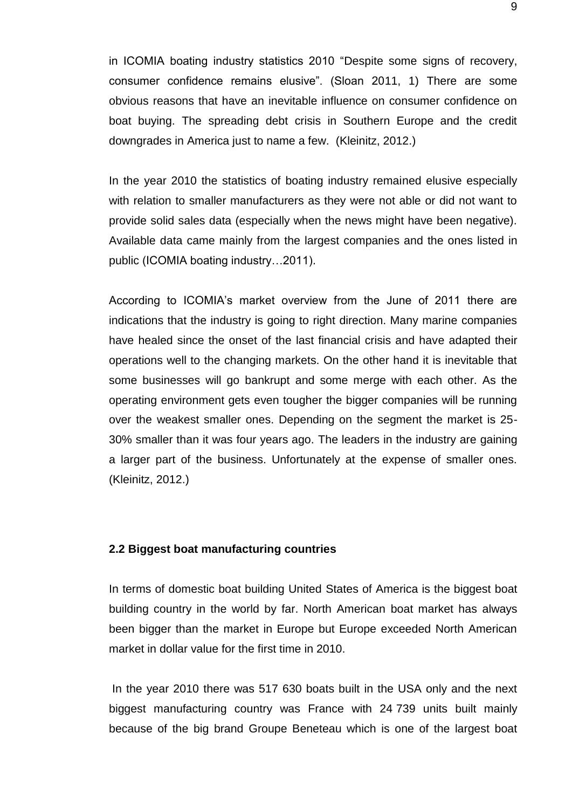in ICOMIA boating industry statistics 2010 "Despite some signs of recovery, consumer confidence remains elusive". (Sloan 2011, 1) There are some obvious reasons that have an inevitable influence on consumer confidence on boat buying. The spreading debt crisis in Southern Europe and the credit downgrades in America just to name a few. (Kleinitz, 2012.)

In the year 2010 the statistics of boating industry remained elusive especially with relation to smaller manufacturers as they were not able or did not want to provide solid sales data (especially when the news might have been negative). Available data came mainly from the largest companies and the ones listed in public (ICOMIA boating industry…2011).

According to ICOMIA's market overview from the June of 2011 there are indications that the industry is going to right direction. Many marine companies have healed since the onset of the last financial crisis and have adapted their operations well to the changing markets. On the other hand it is inevitable that some businesses will go bankrupt and some merge with each other. As the operating environment gets even tougher the bigger companies will be running over the weakest smaller ones. Depending on the segment the market is 25- 30% smaller than it was four years ago. The leaders in the industry are gaining a larger part of the business. Unfortunately at the expense of smaller ones. (Kleinitz, 2012.)

### <span id="page-8-0"></span>**2.2 Biggest boat manufacturing countries**

In terms of domestic boat building United States of America is the biggest boat building country in the world by far. North American boat market has always been bigger than the market in Europe but Europe exceeded North American market in dollar value for the first time in 2010.

In the year 2010 there was 517 630 boats built in the USA only and the next biggest manufacturing country was France with 24 739 units built mainly because of the big brand Groupe Beneteau which is one of the largest boat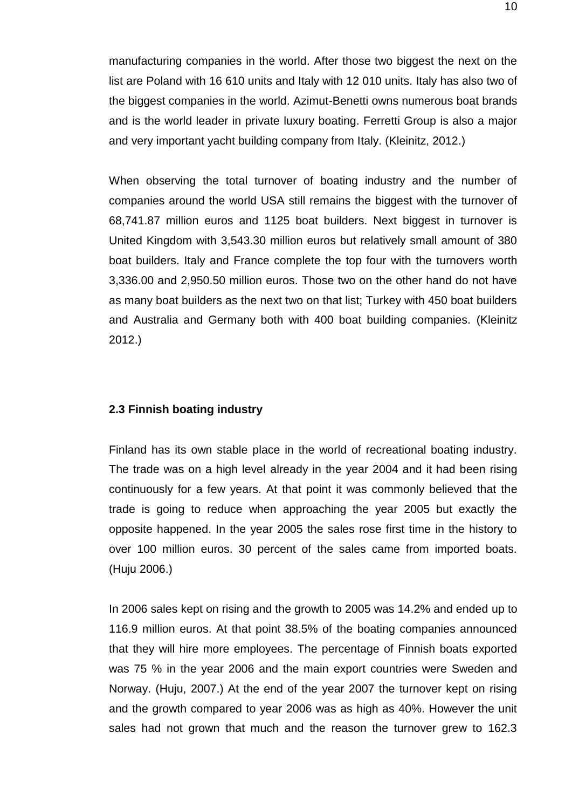manufacturing companies in the world. After those two biggest the next on the list are Poland with 16 610 units and Italy with 12 010 units. Italy has also two of the biggest companies in the world. Azimut-Benetti owns numerous boat brands and is the world leader in private luxury boating. Ferretti Group is also a major and very important yacht building company from Italy. (Kleinitz, 2012.)

When observing the total turnover of boating industry and the number of companies around the world USA still remains the biggest with the turnover of 68,741.87 million euros and 1125 boat builders. Next biggest in turnover is United Kingdom with 3,543.30 million euros but relatively small amount of 380 boat builders. Italy and France complete the top four with the turnovers worth 3,336.00 and 2,950.50 million euros. Those two on the other hand do not have as many boat builders as the next two on that list; Turkey with 450 boat builders and Australia and Germany both with 400 boat building companies. (Kleinitz 2012.)

#### <span id="page-9-0"></span>**2.3 Finnish boating industry**

Finland has its own stable place in the world of recreational boating industry. The trade was on a high level already in the year 2004 and it had been rising continuously for a few years. At that point it was commonly believed that the trade is going to reduce when approaching the year 2005 but exactly the opposite happened. In the year 2005 the sales rose first time in the history to over 100 million euros. 30 percent of the sales came from imported boats. (Huju 2006.)

In 2006 sales kept on rising and the growth to 2005 was 14.2% and ended up to 116.9 million euros. At that point 38.5% of the boating companies announced that they will hire more employees. The percentage of Finnish boats exported was 75 % in the year 2006 and the main export countries were Sweden and Norway. (Huju, 2007.) At the end of the year 2007 the turnover kept on rising and the growth compared to year 2006 was as high as 40%. However the unit sales had not grown that much and the reason the turnover grew to 162.3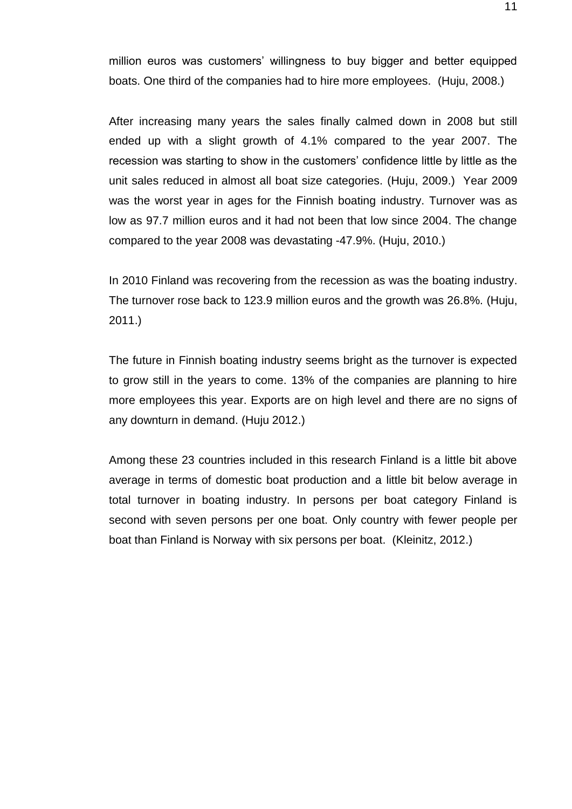million euros was customers' willingness to buy bigger and better equipped boats. One third of the companies had to hire more employees. (Huju, 2008.)

After increasing many years the sales finally calmed down in 2008 but still ended up with a slight growth of 4.1% compared to the year 2007. The recession was starting to show in the customers' confidence little by little as the unit sales reduced in almost all boat size categories. (Huju, 2009.) Year 2009 was the worst year in ages for the Finnish boating industry. Turnover was as low as 97.7 million euros and it had not been that low since 2004. The change compared to the year 2008 was devastating -47.9%. (Huju, 2010.)

In 2010 Finland was recovering from the recession as was the boating industry. The turnover rose back to 123.9 million euros and the growth was 26.8%. (Huju, 2011.)

The future in Finnish boating industry seems bright as the turnover is expected to grow still in the years to come. 13% of the companies are planning to hire more employees this year. Exports are on high level and there are no signs of any downturn in demand. (Huju 2012.)

Among these 23 countries included in this research Finland is a little bit above average in terms of domestic boat production and a little bit below average in total turnover in boating industry. In persons per boat category Finland is second with seven persons per one boat. Only country with fewer people per boat than Finland is Norway with six persons per boat. (Kleinitz, 2012.)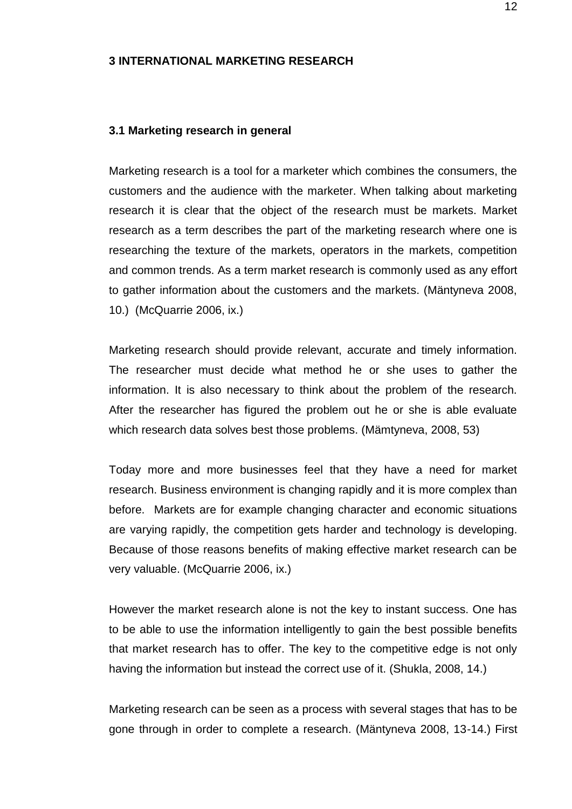#### <span id="page-11-0"></span>**3 INTERNATIONAL MARKETING RESEARCH**

#### <span id="page-11-1"></span>**3.1 Marketing research in general**

Marketing research is a tool for a marketer which combines the consumers, the customers and the audience with the marketer. When talking about marketing research it is clear that the object of the research must be markets. Market research as a term describes the part of the marketing research where one is researching the texture of the markets, operators in the markets, competition and common trends. As a term market research is commonly used as any effort to gather information about the customers and the markets. (Mäntyneva 2008, 10.) (McQuarrie 2006, ix.)

Marketing research should provide relevant, accurate and timely information. The researcher must decide what method he or she uses to gather the information. It is also necessary to think about the problem of the research. After the researcher has figured the problem out he or she is able evaluate which research data solves best those problems. (Mämtyneva, 2008, 53)

Today more and more businesses feel that they have a need for market research. Business environment is changing rapidly and it is more complex than before. Markets are for example changing character and economic situations are varying rapidly, the competition gets harder and technology is developing. Because of those reasons benefits of making effective market research can be very valuable. (McQuarrie 2006, ix.)

However the market research alone is not the key to instant success. One has to be able to use the information intelligently to gain the best possible benefits that market research has to offer. The key to the competitive edge is not only having the information but instead the correct use of it. (Shukla, 2008, 14.)

Marketing research can be seen as a process with several stages that has to be gone through in order to complete a research. (Mäntyneva 2008, 13-14.) First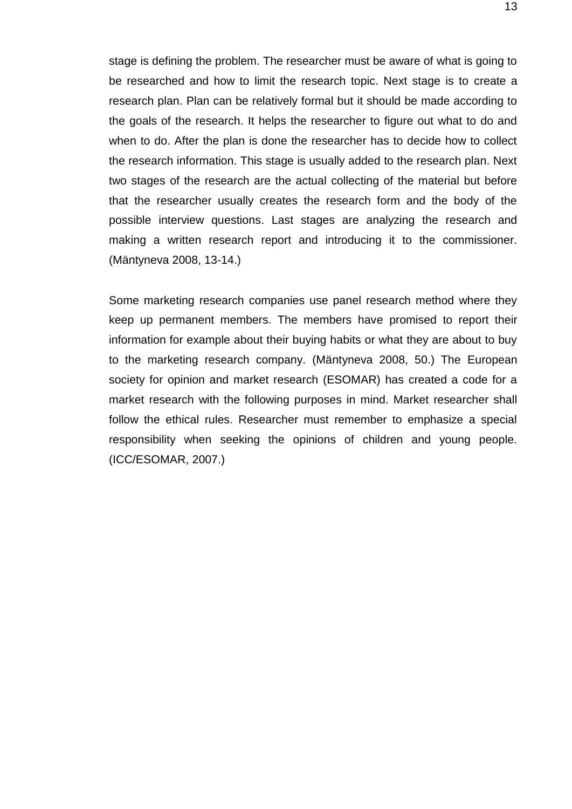stage is defining the problem. The researcher must be aware of what is going to be researched and how to limit the research topic. Next stage is to create a research plan. Plan can be relatively formal but it should be made according to the goals of the research. It helps the researcher to figure out what to do and when to do. After the plan is done the researcher has to decide how to collect the research information. This stage is usually added to the research plan. Next two stages of the research are the actual collecting of the material but before that the researcher usually creates the research form and the body of the possible interview questions. Last stages are analyzing the research and making a written research report and introducing it to the commissioner. (Mäntyneva 2008, 13-14.)

Some marketing research companies use panel research method where they keep up permanent members. The members have promised to report their information for example about their buying habits or what they are about to buy to the marketing research company. (Mäntyneva 2008, 50.) The European society for opinion and market research (ESOMAR) has created a code for a market research with the following purposes in mind. Market researcher shall follow the ethical rules. Researcher must remember to emphasize a special responsibility when seeking the opinions of children and young people. (ICC/ESOMAR, 2007.)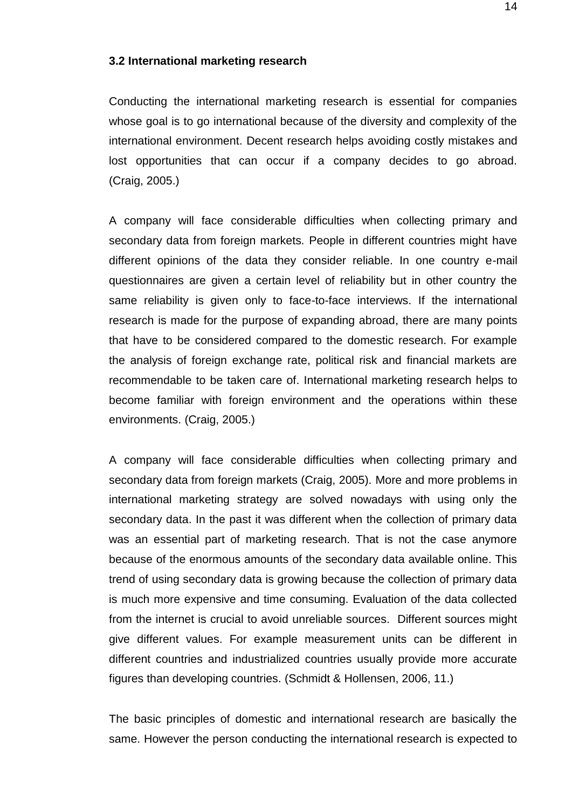#### <span id="page-13-0"></span>**3.2 International marketing research**

Conducting the international marketing research is essential for companies whose goal is to go international because of the diversity and complexity of the international environment. Decent research helps avoiding costly mistakes and lost opportunities that can occur if a company decides to go abroad. (Craig, 2005.)

A company will face considerable difficulties when collecting primary and secondary data from foreign markets. People in different countries might have different opinions of the data they consider reliable. In one country e-mail questionnaires are given a certain level of reliability but in other country the same reliability is given only to face-to-face interviews. If the international research is made for the purpose of expanding abroad, there are many points that have to be considered compared to the domestic research. For example the analysis of foreign exchange rate, political risk and financial markets are recommendable to be taken care of. International marketing research helps to become familiar with foreign environment and the operations within these environments. (Craig, 2005.)

A company will face considerable difficulties when collecting primary and secondary data from foreign markets (Craig, 2005). More and more problems in international marketing strategy are solved nowadays with using only the secondary data. In the past it was different when the collection of primary data was an essential part of marketing research. That is not the case anymore because of the enormous amounts of the secondary data available online. This trend of using secondary data is growing because the collection of primary data is much more expensive and time consuming. Evaluation of the data collected from the internet is crucial to avoid unreliable sources. Different sources might give different values. For example measurement units can be different in different countries and industrialized countries usually provide more accurate figures than developing countries. (Schmidt & Hollensen, 2006, 11.)

The basic principles of domestic and international research are basically the same. However the person conducting the international research is expected to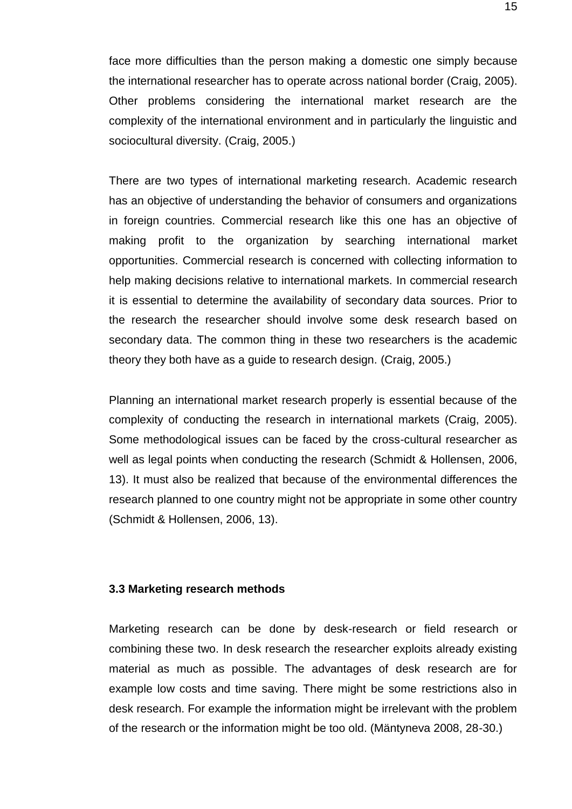face more difficulties than the person making a domestic one simply because the international researcher has to operate across national border (Craig, 2005). Other problems considering the international market research are the complexity of the international environment and in particularly the linguistic and sociocultural diversity. (Craig, 2005.)

There are two types of international marketing research. Academic research has an objective of understanding the behavior of consumers and organizations in foreign countries. Commercial research like this one has an objective of making profit to the organization by searching international market opportunities. Commercial research is concerned with collecting information to help making decisions relative to international markets. In commercial research it is essential to determine the availability of secondary data sources. Prior to the research the researcher should involve some desk research based on secondary data. The common thing in these two researchers is the academic theory they both have as a guide to research design. (Craig, 2005.)

Planning an international market research properly is essential because of the complexity of conducting the research in international markets (Craig, 2005). Some methodological issues can be faced by the cross-cultural researcher as well as legal points when conducting the research (Schmidt & Hollensen, 2006, 13). It must also be realized that because of the environmental differences the research planned to one country might not be appropriate in some other country (Schmidt & Hollensen, 2006, 13).

## <span id="page-14-0"></span>**3.3 Marketing research methods**

Marketing research can be done by desk-research or field research or combining these two. In desk research the researcher exploits already existing material as much as possible. The advantages of desk research are for example low costs and time saving. There might be some restrictions also in desk research. For example the information might be irrelevant with the problem of the research or the information might be too old. (Mäntyneva 2008, 28-30.)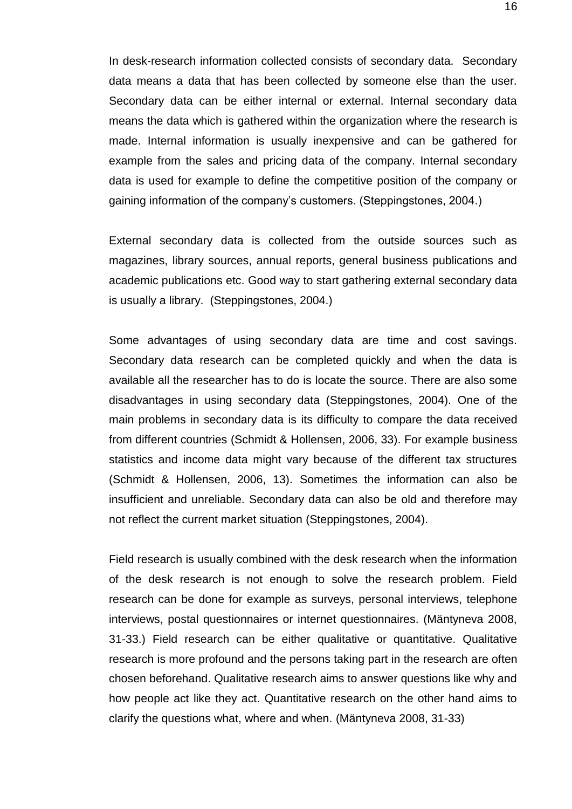In desk-research information collected consists of secondary data. Secondary data means a data that has been collected by someone else than the user. Secondary data can be either internal or external. Internal secondary data means the data which is gathered within the organization where the research is made. Internal information is usually inexpensive and can be gathered for example from the sales and pricing data of the company. Internal secondary data is used for example to define the competitive position of the company or gaining information of the company's customers. (Steppingstones, 2004.)

External secondary data is collected from the outside sources such as magazines, library sources, annual reports, general business publications and academic publications etc. Good way to start gathering external secondary data is usually a library. (Steppingstones, 2004.)

Some advantages of using secondary data are time and cost savings. Secondary data research can be completed quickly and when the data is available all the researcher has to do is locate the source. There are also some disadvantages in using secondary data (Steppingstones, 2004). One of the main problems in secondary data is its difficulty to compare the data received from different countries (Schmidt & Hollensen, 2006, 33). For example business statistics and income data might vary because of the different tax structures (Schmidt & Hollensen, 2006, 13). Sometimes the information can also be insufficient and unreliable. Secondary data can also be old and therefore may not reflect the current market situation (Steppingstones, 2004).

Field research is usually combined with the desk research when the information of the desk research is not enough to solve the research problem. Field research can be done for example as surveys, personal interviews, telephone interviews, postal questionnaires or internet questionnaires. (Mäntyneva 2008, 31-33.) Field research can be either qualitative or quantitative. Qualitative research is more profound and the persons taking part in the research are often chosen beforehand. Qualitative research aims to answer questions like why and how people act like they act. Quantitative research on the other hand aims to clarify the questions what, where and when. (Mäntyneva 2008, 31-33)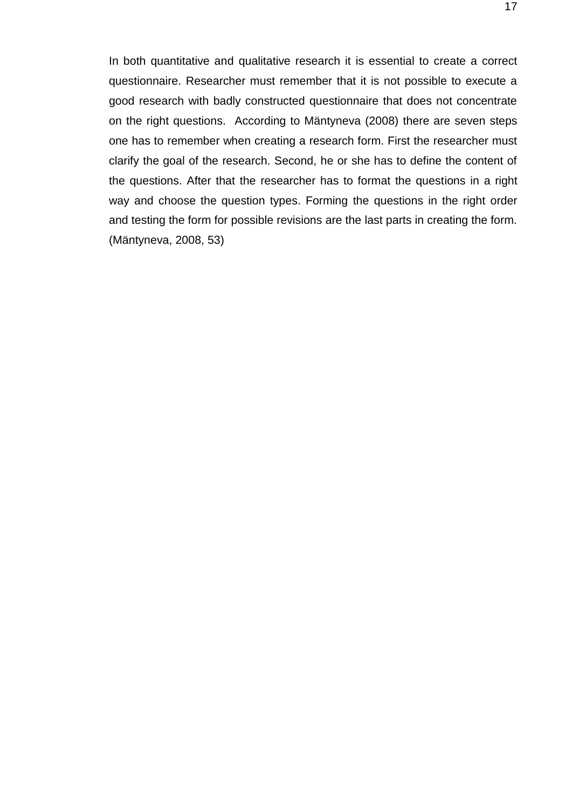In both quantitative and qualitative research it is essential to create a correct questionnaire. Researcher must remember that it is not possible to execute a good research with badly constructed questionnaire that does not concentrate on the right questions. According to Mäntyneva (2008) there are seven steps one has to remember when creating a research form. First the researcher must clarify the goal of the research. Second, he or she has to define the content of the questions. After that the researcher has to format the questions in a right way and choose the question types. Forming the questions in the right order and testing the form for possible revisions are the last parts in creating the form. (Mäntyneva, 2008, 53)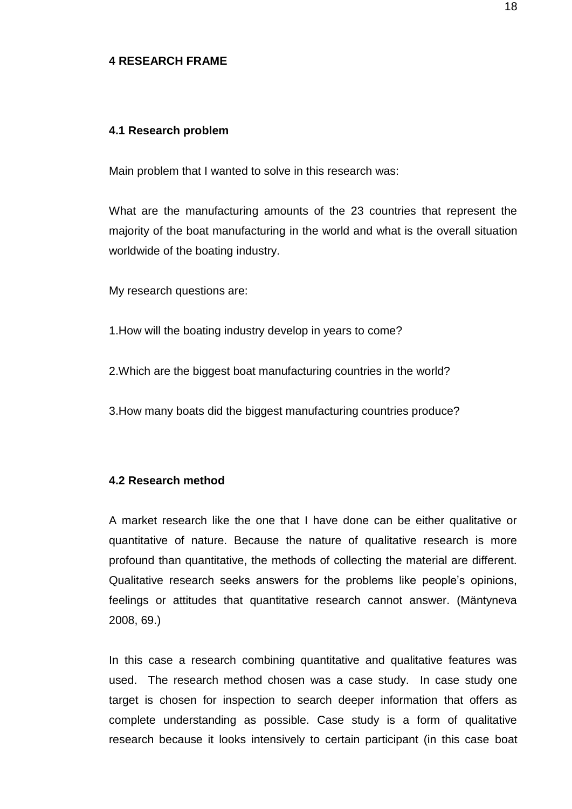#### <span id="page-17-0"></span>**4 RESEARCH FRAME**

#### <span id="page-17-1"></span>**4.1 Research problem**

Main problem that I wanted to solve in this research was:

What are the manufacturing amounts of the 23 countries that represent the majority of the boat manufacturing in the world and what is the overall situation worldwide of the boating industry.

My research questions are:

1.How will the boating industry develop in years to come?

- 2.Which are the biggest boat manufacturing countries in the world?
- 3.How many boats did the biggest manufacturing countries produce?

# <span id="page-17-2"></span>**4.2 Research method**

A market research like the one that I have done can be either qualitative or quantitative of nature. Because the nature of qualitative research is more profound than quantitative, the methods of collecting the material are different. Qualitative research seeks answers for the problems like people's opinions, feelings or attitudes that quantitative research cannot answer. (Mäntyneva 2008, 69.)

In this case a research combining quantitative and qualitative features was used. The research method chosen was a case study. In case study one target is chosen for inspection to search deeper information that offers as complete understanding as possible. Case study is a form of qualitative research because it looks intensively to certain participant (in this case boat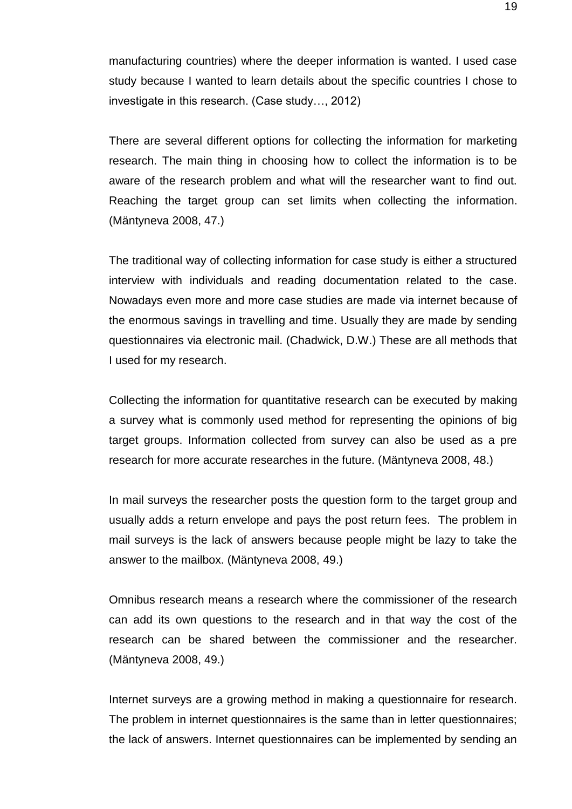manufacturing countries) where the deeper information is wanted. I used case study because I wanted to learn details about the specific countries I chose to investigate in this research. (Case study…, 2012)

There are several different options for collecting the information for marketing research. The main thing in choosing how to collect the information is to be aware of the research problem and what will the researcher want to find out. Reaching the target group can set limits when collecting the information. (Mäntyneva 2008, 47.)

The traditional way of collecting information for case study is either a structured interview with individuals and reading documentation related to the case. Nowadays even more and more case studies are made via internet because of the enormous savings in travelling and time. Usually they are made by sending questionnaires via electronic mail. (Chadwick, D.W.) These are all methods that I used for my research.

Collecting the information for quantitative research can be executed by making a survey what is commonly used method for representing the opinions of big target groups. Information collected from survey can also be used as a pre research for more accurate researches in the future. (Mäntyneva 2008, 48.)

In mail surveys the researcher posts the question form to the target group and usually adds a return envelope and pays the post return fees. The problem in mail surveys is the lack of answers because people might be lazy to take the answer to the mailbox. (Mäntyneva 2008, 49.)

Omnibus research means a research where the commissioner of the research can add its own questions to the research and in that way the cost of the research can be shared between the commissioner and the researcher. (Mäntyneva 2008, 49.)

Internet surveys are a growing method in making a questionnaire for research. The problem in internet questionnaires is the same than in letter questionnaires; the lack of answers. Internet questionnaires can be implemented by sending an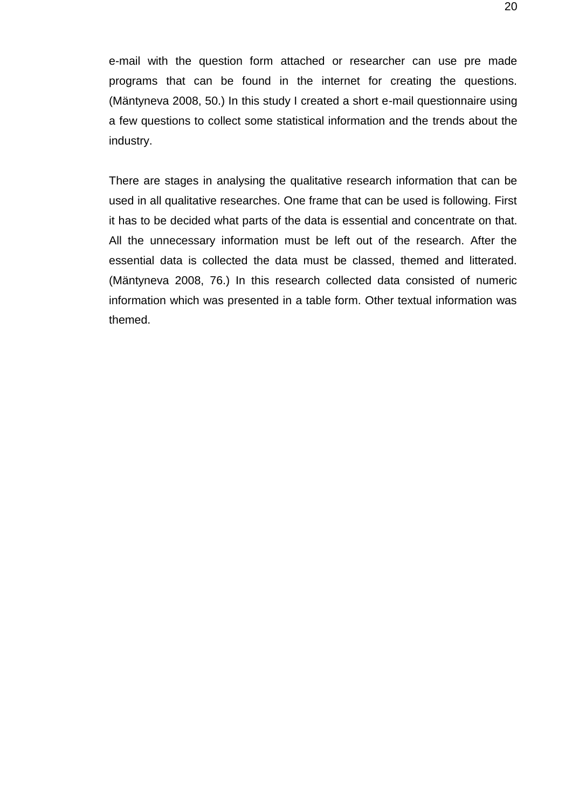e-mail with the question form attached or researcher can use pre made programs that can be found in the internet for creating the questions. (Mäntyneva 2008, 50.) In this study I created a short e-mail questionnaire using a few questions to collect some statistical information and the trends about the industry.

There are stages in analysing the qualitative research information that can be used in all qualitative researches. One frame that can be used is following. First it has to be decided what parts of the data is essential and concentrate on that. All the unnecessary information must be left out of the research. After the essential data is collected the data must be classed, themed and litterated. (Mäntyneva 2008, 76.) In this research collected data consisted of numeric information which was presented in a table form. Other textual information was themed.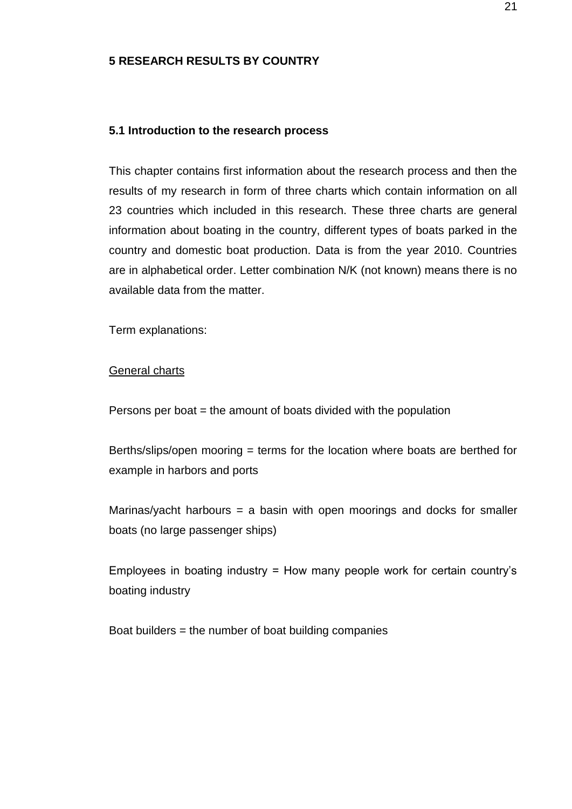# <span id="page-20-0"></span>**5 RESEARCH RESULTS BY COUNTRY**

#### <span id="page-20-1"></span>**5.1 Introduction to the research process**

This chapter contains first information about the research process and then the results of my research in form of three charts which contain information on all 23 countries which included in this research. These three charts are general information about boating in the country, different types of boats parked in the country and domestic boat production. Data is from the year 2010. Countries are in alphabetical order. Letter combination N/K (not known) means there is no available data from the matter.

Term explanations:

## **General charts**

Persons per boat  $=$  the amount of boats divided with the population

Berths/slips/open mooring = terms for the location where boats are berthed for example in harbors and ports

Marinas/yacht harbours  $=$  a basin with open moorings and docks for smaller boats (no large passenger ships)

Employees in boating industry = How many people work for certain country's boating industry

Boat builders = the number of boat building companies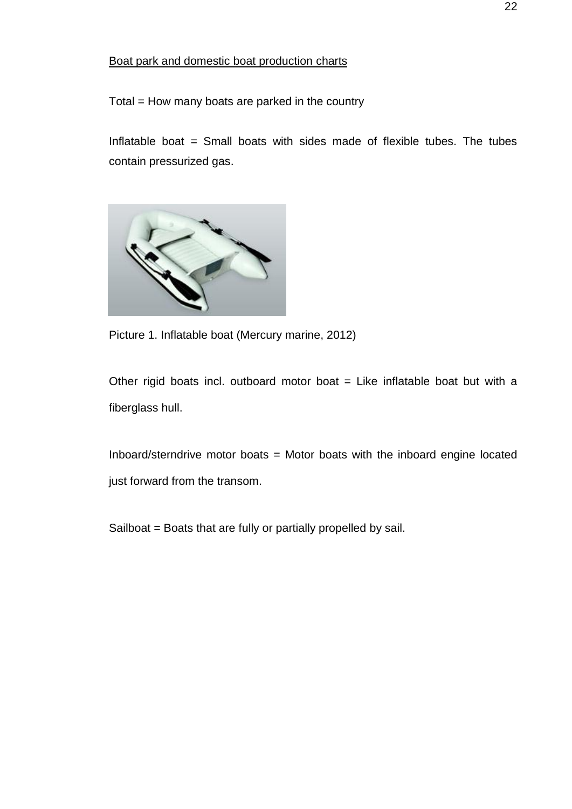# Boat park and domestic boat production charts

Total = How many boats are parked in the country

Inflatable boat  $=$  Small boats with sides made of flexible tubes. The tubes contain pressurized gas.



Picture 1. Inflatable boat (Mercury marine, 2012)

Other rigid boats incl. outboard motor boat  $=$  Like inflatable boat but with a fiberglass hull.

Inboard/sterndrive motor boats = Motor boats with the inboard engine located just forward from the transom.

Sailboat = Boats that are fully or partially propelled by sail.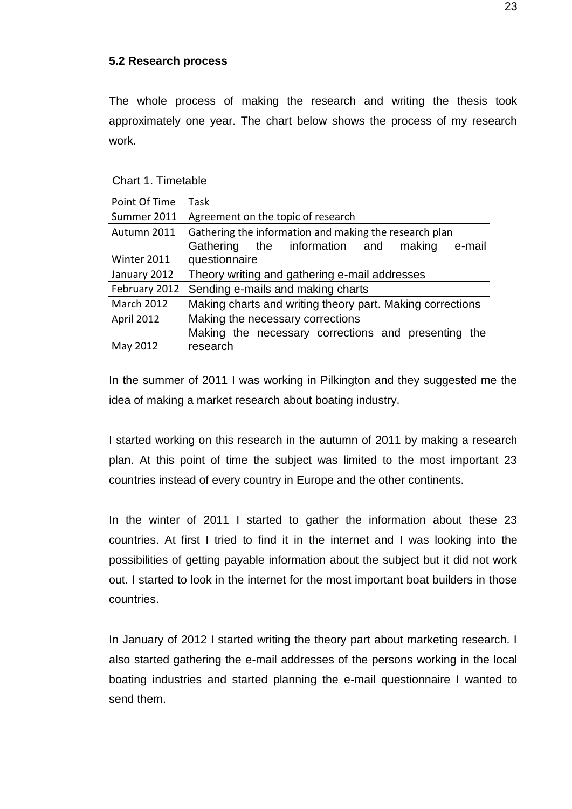## <span id="page-22-0"></span>**5.2 Research process**

The whole process of making the research and writing the thesis took approximately one year. The chart below shows the process of my research work.

Chart 1. Timetable

| Point Of Time     | Task                                                      |  |  |
|-------------------|-----------------------------------------------------------|--|--|
| Summer 2011       | Agreement on the topic of research                        |  |  |
| Autumn 2011       | Gathering the information and making the research plan    |  |  |
|                   | Gathering the information and<br>making<br>e-mail         |  |  |
| Winter 2011       | questionnaire                                             |  |  |
| January 2012      | Theory writing and gathering e-mail addresses             |  |  |
| February 2012     | Sending e-mails and making charts                         |  |  |
| <b>March 2012</b> | Making charts and writing theory part. Making corrections |  |  |
| April 2012        | Making the necessary corrections                          |  |  |
|                   | Making the necessary corrections and presenting the       |  |  |
| May 2012          | research                                                  |  |  |

In the summer of 2011 I was working in Pilkington and they suggested me the idea of making a market research about boating industry.

I started working on this research in the autumn of 2011 by making a research plan. At this point of time the subject was limited to the most important 23 countries instead of every country in Europe and the other continents.

In the winter of 2011 I started to gather the information about these 23 countries. At first I tried to find it in the internet and I was looking into the possibilities of getting payable information about the subject but it did not work out. I started to look in the internet for the most important boat builders in those countries.

In January of 2012 I started writing the theory part about marketing research. I also started gathering the e-mail addresses of the persons working in the local boating industries and started planning the e-mail questionnaire I wanted to send them.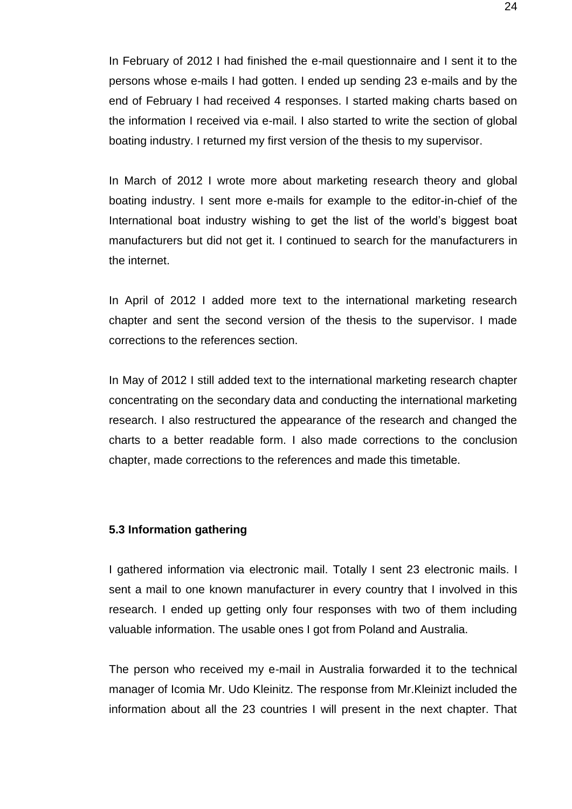In February of 2012 I had finished the e-mail questionnaire and I sent it to the persons whose e-mails I had gotten. I ended up sending 23 e-mails and by the end of February I had received 4 responses. I started making charts based on the information I received via e-mail. I also started to write the section of global boating industry. I returned my first version of the thesis to my supervisor.

In March of 2012 I wrote more about marketing research theory and global boating industry. I sent more e-mails for example to the editor-in-chief of the International boat industry wishing to get the list of the world's biggest boat manufacturers but did not get it. I continued to search for the manufacturers in the internet.

In April of 2012 I added more text to the international marketing research chapter and sent the second version of the thesis to the supervisor. I made corrections to the references section.

In May of 2012 I still added text to the international marketing research chapter concentrating on the secondary data and conducting the international marketing research. I also restructured the appearance of the research and changed the charts to a better readable form. I also made corrections to the conclusion chapter, made corrections to the references and made this timetable.

#### **5.3 Information gathering**

I gathered information via electronic mail. Totally I sent 23 electronic mails. I sent a mail to one known manufacturer in every country that I involved in this research. I ended up getting only four responses with two of them including valuable information. The usable ones I got from Poland and Australia.

The person who received my e-mail in Australia forwarded it to the technical manager of Icomia Mr. Udo Kleinitz. The response from Mr.Kleinizt included the information about all the 23 countries I will present in the next chapter. That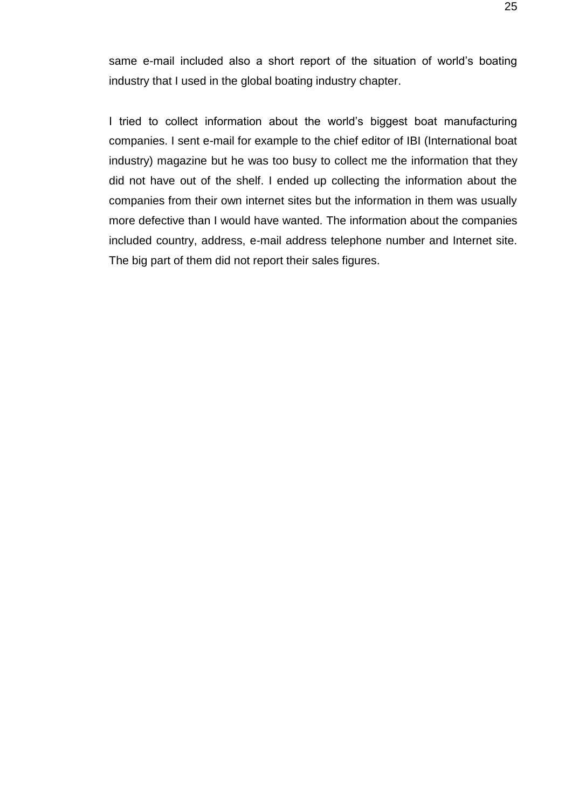same e-mail included also a short report of the situation of world's boating industry that I used in the global boating industry chapter.

I tried to collect information about the world's biggest boat manufacturing companies. I sent e-mail for example to the chief editor of IBI (International boat industry) magazine but he was too busy to collect me the information that they did not have out of the shelf. I ended up collecting the information about the companies from their own internet sites but the information in them was usually more defective than I would have wanted. The information about the companies included country, address, e-mail address telephone number and Internet site. The big part of them did not report their sales figures.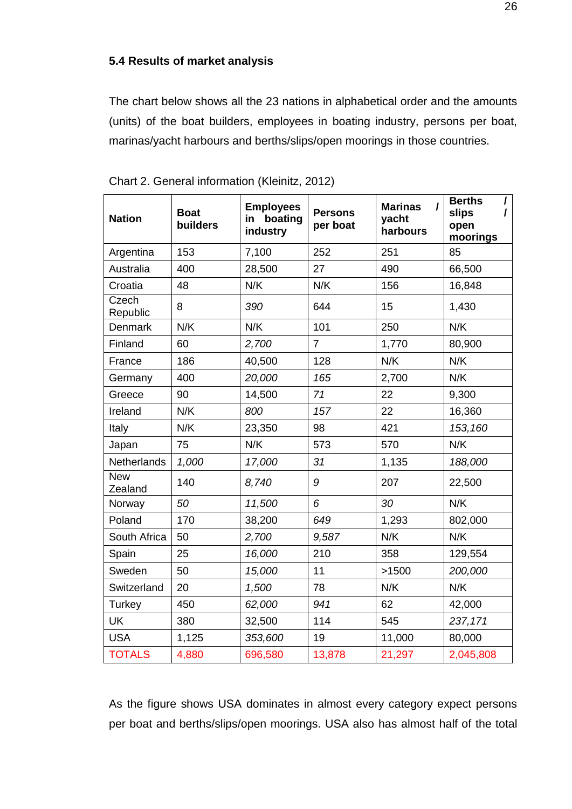# <span id="page-25-0"></span>**5.4 Results of market analysis**

The chart below shows all the 23 nations in alphabetical order and the amounts (units) of the boat builders, employees in boating industry, persons per boat, marinas/yacht harbours and berths/slips/open moorings in those countries.

| <b>Nation</b>         | <b>Boat</b><br>builders | <b>Employees</b><br>boating<br>in.<br>industry | <b>Persons</b><br>per boat | <b>Marinas</b><br>yacht<br>harbours | <b>Berths</b><br>$\prime$<br>slips<br>I<br>open<br>moorings |
|-----------------------|-------------------------|------------------------------------------------|----------------------------|-------------------------------------|-------------------------------------------------------------|
| Argentina             | 153                     | 7,100                                          | 252                        | 251                                 | 85                                                          |
| Australia             | 400                     | 28,500                                         | 27                         | 490                                 | 66,500                                                      |
| Croatia               | 48                      | N/K                                            | N/K                        | 156                                 | 16,848                                                      |
| Czech<br>Republic     | 8                       | 390                                            | 644                        | 15                                  | 1,430                                                       |
| <b>Denmark</b>        | N/K                     | N/K                                            | 101                        | 250                                 | N/K                                                         |
| Finland               | 60                      | 2,700                                          | $\overline{7}$             | 1,770                               | 80,900                                                      |
| France                | 186                     | 40,500                                         | 128                        | N/K                                 | N/K                                                         |
| Germany               | 400                     | 20,000                                         | 165                        | 2,700                               | N/K                                                         |
| Greece                | 90                      | 14,500                                         | 71                         | 22                                  | 9,300                                                       |
| Ireland               | N/K                     | 800                                            | 157                        | 22                                  | 16,360                                                      |
| Italy                 | N/K                     | 23,350                                         | 98                         | 421                                 | 153,160                                                     |
| Japan                 | 75                      | N/K                                            | 573                        | 570                                 | N/K                                                         |
| Netherlands           | 1,000                   | 17,000                                         | 31                         | 1,135                               | 188,000                                                     |
| <b>New</b><br>Zealand | 140                     | 8,740                                          | 9                          | 207                                 | 22,500                                                      |
| Norway                | 50                      | 11,500                                         | 6                          | 30                                  | N/K                                                         |
| Poland                | 170                     | 38,200                                         | 649                        | 1,293                               | 802,000                                                     |
| South Africa          | 50                      | 2,700                                          | 9,587                      | N/K                                 | N/K                                                         |
| Spain                 | 25                      | 16,000                                         | 210                        | 358                                 | 129,554                                                     |
| Sweden                | 50                      | 15,000                                         | 11                         | >1500                               | 200,000                                                     |
| Switzerland           | 20                      | 1,500                                          | 78                         | N/K                                 | N/K                                                         |
| Turkey                | 450                     | 62,000                                         | 941                        | 62                                  | 42,000                                                      |
| <b>UK</b>             | 380                     | 32,500                                         | 114                        | 545                                 | 237,171                                                     |
| <b>USA</b>            | 1,125                   | 353,600                                        | 19                         | 11,000                              | 80,000                                                      |
| <b>TOTALS</b>         | 4,880                   | 696,580                                        | 13,878                     | 21,297                              | 2,045,808                                                   |

Chart 2. General information (Kleinitz, 2012)

As the figure shows USA dominates in almost every category expect persons per boat and berths/slips/open moorings. USA also has almost half of the total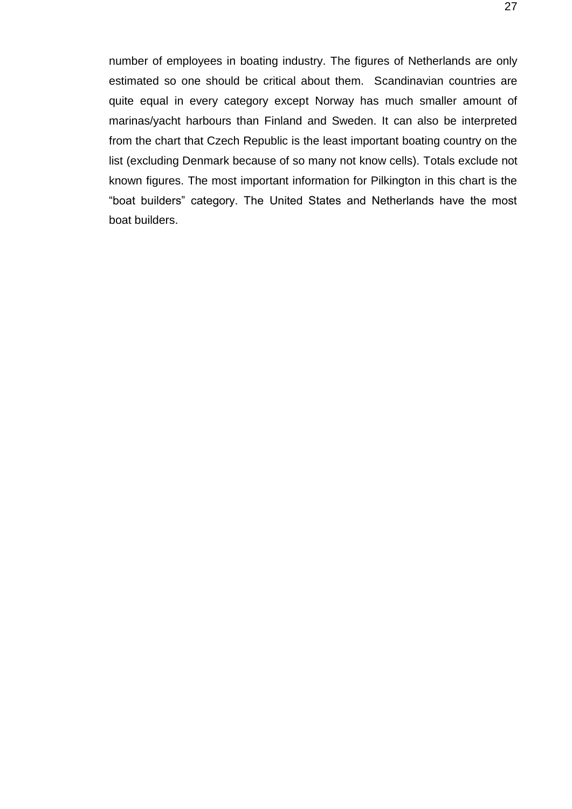number of employees in boating industry. The figures of Netherlands are only estimated so one should be critical about them. Scandinavian countries are quite equal in every category except Norway has much smaller amount of marinas/yacht harbours than Finland and Sweden. It can also be interpreted from the chart that Czech Republic is the least important boating country on the list (excluding Denmark because of so many not know cells). Totals exclude not known figures. The most important information for Pilkington in this chart is the "boat builders" category. The United States and Netherlands have the most boat builders.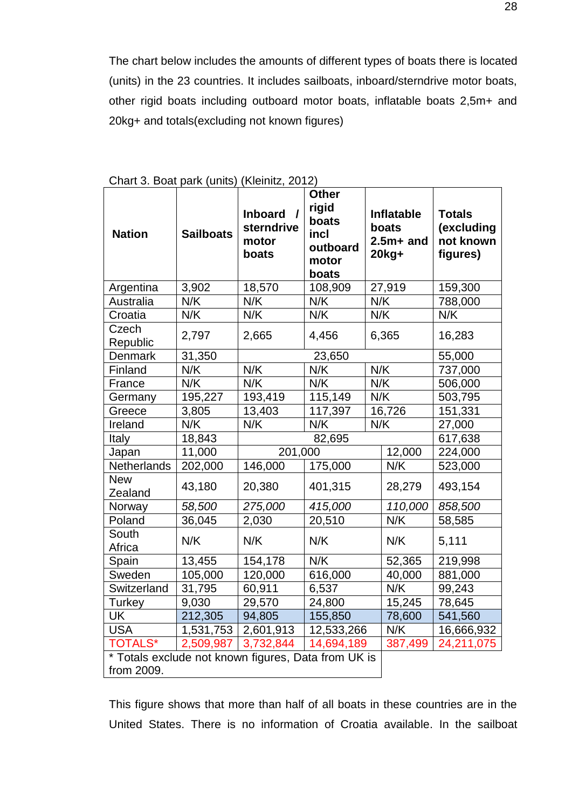The chart below includes the amounts of different types of boats there is located (units) in the 23 countries. It includes sailboats, inboard/sterndrive motor boats, other rigid boats including outboard motor boats, inflatable boats 2,5m+ and 20kg+ and totals(excluding not known figures)

| <b>Nation</b>                                                     | <b>Sailboats</b> | <b>Inboard</b><br>$\overline{ }$<br>sterndrive<br>motor<br>boats | <b>Other</b><br>rigid<br>boats<br>incl<br>outboard<br>motor<br>boats |     | Inflatable<br>boats<br>$2.5m+$ and<br>$20$ kg+ | <b>Totals</b><br>(excluding<br>not known<br>figures) |
|-------------------------------------------------------------------|------------------|------------------------------------------------------------------|----------------------------------------------------------------------|-----|------------------------------------------------|------------------------------------------------------|
| Argentina                                                         | 3,902            | 18,570                                                           | 108,909                                                              |     | 27,919                                         | 159,300                                              |
| Australia                                                         | N/K              | N/K                                                              | N/K                                                                  | N/K |                                                | 788,000                                              |
| Croatia                                                           | N/K              | N/K                                                              | N/K                                                                  | N/K |                                                | N/K                                                  |
| Czech<br>Republic                                                 | 2,797            | 2,665                                                            | 4,456                                                                |     | 6,365                                          | 16,283                                               |
| <b>Denmark</b>                                                    | 31,350           |                                                                  | 23,650                                                               |     |                                                | 55,000                                               |
| Finland                                                           | N/K              | N/K                                                              | N/K                                                                  | N/K |                                                | 737,000                                              |
| France                                                            | N/K              | N/K                                                              | N/K                                                                  | N/K |                                                | 506,000                                              |
| Germany                                                           | 195,227          | 193,419                                                          | 115,149                                                              | N/K |                                                | 503,795                                              |
| Greece                                                            | 3,805            | 13,403                                                           | 117,397                                                              |     | 16,726                                         | 151,331                                              |
| Ireland                                                           | N/K              | N/K                                                              | N/K                                                                  | N/K |                                                | 27,000                                               |
| Italy                                                             | 18,843           |                                                                  | 82,695                                                               |     |                                                | 617,638                                              |
| Japan                                                             | 11,000           | 201,000                                                          |                                                                      |     | 12,000                                         | 224,000                                              |
| Netherlands                                                       | 202,000          | 146,000                                                          | 175,000                                                              |     | N/K                                            | 523,000                                              |
| <b>New</b><br>Zealand                                             | 43,180           | 20,380                                                           | 401,315                                                              |     | 28,279                                         | 493,154                                              |
| Norway                                                            | 58,500           | 275,000                                                          | 415,000                                                              |     | 110,000                                        | 858,500                                              |
| Poland                                                            | 36,045           | 2,030                                                            | 20,510                                                               |     | N/K                                            | 58,585                                               |
| South<br>Africa                                                   | N/K              | N/K                                                              | N/K                                                                  |     | N/K                                            | 5,111                                                |
| Spain                                                             | 13,455           | 154,178                                                          | N/K                                                                  |     | 52,365                                         | 219,998                                              |
| Sweden                                                            | 105,000          | 120,000                                                          | 616,000                                                              |     | 40,000                                         | 881,000                                              |
| Switzerland                                                       | 31,795           | 60,911                                                           | 6,537                                                                |     | N/K                                            | 99,243                                               |
| Turkey                                                            | 9,030            | 29,570                                                           | 24,800                                                               |     | 15,245                                         | 78,645                                               |
| <b>UK</b>                                                         | 212,305          | 94,805                                                           | 155,850                                                              |     | 78,600                                         | 541,560                                              |
| <b>USA</b>                                                        | 1,531,753        | 2,601,913                                                        | 12,533,266                                                           |     | N/K                                            | 16,666,932                                           |
| <b>TOTALS*</b>                                                    | 2,509,987        | 3,732,844                                                        | 14,694,189                                                           |     | 387,499                                        | 24,211,075                                           |
| * Totals exclude not known figures, Data from UK is<br>from 2009. |                  |                                                                  |                                                                      |     |                                                |                                                      |

Chart 3. Boat park (units) (Kleinitz, 2012)

This figure shows that more than half of all boats in these countries are in the United States. There is no information of Croatia available. In the sailboat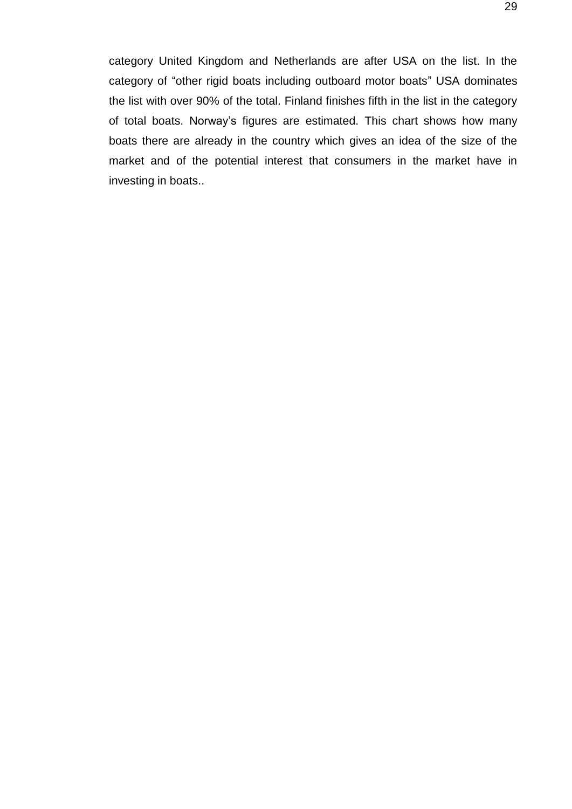category United Kingdom and Netherlands are after USA on the list. In the category of "other rigid boats including outboard motor boats" USA dominates the list with over 90% of the total. Finland finishes fifth in the list in the category of total boats. Norway's figures are estimated. This chart shows how many boats there are already in the country which gives an idea of the size of the market and of the potential interest that consumers in the market have in investing in boats..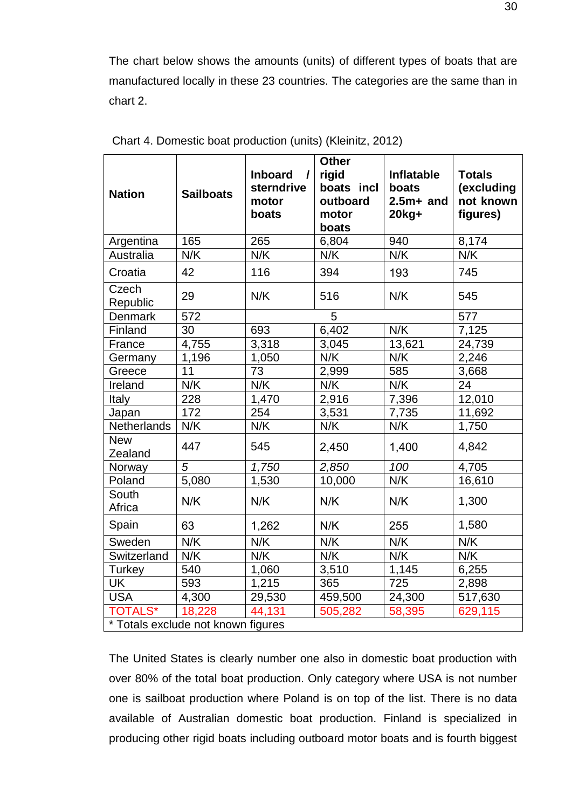The chart below shows the amounts (units) of different types of boats that are manufactured locally in these 23 countries. The categories are the same than in chart 2.

| <b>Nation</b>                      | <b>Sailboats</b> | <b>Inboard</b><br>$\prime$<br>sterndrive<br>motor<br>boats | <b>Other</b><br>rigid<br>boats incl<br>outboard<br>motor<br>boats | <b>Inflatable</b><br>boats<br>$2.5m+$ and<br>$20$ kg+ | <b>Totals</b><br>(excluding<br>not known<br>figures) |
|------------------------------------|------------------|------------------------------------------------------------|-------------------------------------------------------------------|-------------------------------------------------------|------------------------------------------------------|
| Argentina                          | 165              | 265                                                        | 6,804                                                             | 940                                                   | 8,174                                                |
| Australia                          | N/K              | N/K                                                        | N/K                                                               | N/K                                                   | N/K                                                  |
| Croatia                            | 42               | 116                                                        | 394                                                               | 193                                                   | 745                                                  |
| Czech<br>Republic                  | 29               | N/K                                                        | 516                                                               | N/K                                                   | 545                                                  |
| <b>Denmark</b>                     | 572              |                                                            | 5                                                                 |                                                       | 577                                                  |
| Finland                            | 30               | 693                                                        | 6,402                                                             | N/K                                                   | 7,125                                                |
| France                             | 4,755            | 3,318                                                      | 3,045                                                             | 13,621                                                | 24,739                                               |
| Germany                            | 1,196            | 1,050                                                      | N/K                                                               | N/K                                                   | 2,246                                                |
| Greece                             | 11               | 73                                                         | 2,999                                                             | 585                                                   | 3,668                                                |
| Ireland                            | N/K              | N/K                                                        | N/K                                                               | N/K                                                   | 24                                                   |
| Italy                              | 228              | 1,470                                                      | 2,916                                                             | 7,396                                                 | 12,010                                               |
| Japan                              | 172              | 254                                                        | 3,531                                                             | 7,735                                                 | 11,692                                               |
| Netherlands                        | N/K              | N/K                                                        | N/K                                                               | N/K                                                   | 1,750                                                |
| <b>New</b><br>Zealand              | 447              | 545                                                        | 2,450                                                             | 1,400                                                 | 4,842                                                |
| Norway                             | $\overline{5}$   | 1,750                                                      | 2,850                                                             | 100                                                   | 4,705                                                |
| Poland                             | 5,080            | 1,530                                                      | 10,000                                                            | N/K                                                   | 16,610                                               |
| South<br>Africa                    | N/K              | N/K                                                        | N/K                                                               | N/K                                                   | 1,300                                                |
| Spain                              | 63               | 1,262                                                      | N/K                                                               | 255                                                   | 1,580                                                |
| Sweden                             | N/K              | N/K                                                        | N/K                                                               | N/K                                                   | N/K                                                  |
| Switzerland                        | N/K              | N/K                                                        | N/K                                                               | N/K                                                   | N/K                                                  |
| Turkey                             | 540              | 1,060                                                      | 3,510                                                             | 1,145                                                 | 6,255                                                |
| UK                                 | 593              | 1,215                                                      | 365                                                               | 725                                                   | 2,898                                                |
| <b>USA</b>                         | 4,300            | 29,530                                                     | 459,500                                                           | 24,300                                                | 517,630                                              |
| <b>TOTALS*</b>                     | 18,228           | 44,131                                                     | 505,282                                                           | 58,395                                                | 629,115                                              |
| * Totals exclude not known figures |                  |                                                            |                                                                   |                                                       |                                                      |

Chart 4. Domestic boat production (units) (Kleinitz, 2012)

The United States is clearly number one also in domestic boat production with over 80% of the total boat production. Only category where USA is not number one is sailboat production where Poland is on top of the list. There is no data available of Australian domestic boat production. Finland is specialized in producing other rigid boats including outboard motor boats and is fourth biggest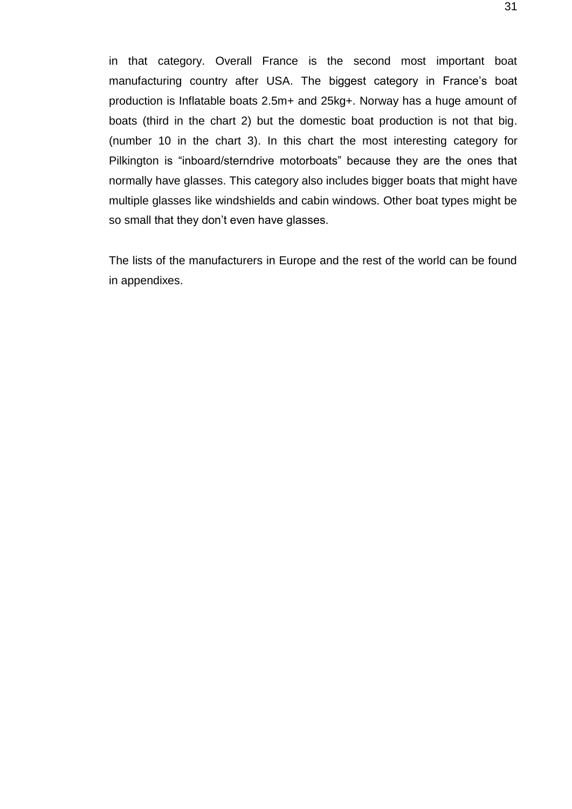in that category. Overall France is the second most important boat manufacturing country after USA. The biggest category in France's boat production is Inflatable boats 2.5m+ and 25kg+. Norway has a huge amount of boats (third in the chart 2) but the domestic boat production is not that big. (number 10 in the chart 3). In this chart the most interesting category for Pilkington is "inboard/sterndrive motorboats" because they are the ones that normally have glasses. This category also includes bigger boats that might have multiple glasses like windshields and cabin windows. Other boat types might be so small that they don't even have glasses.

The lists of the manufacturers in Europe and the rest of the world can be found in appendixes.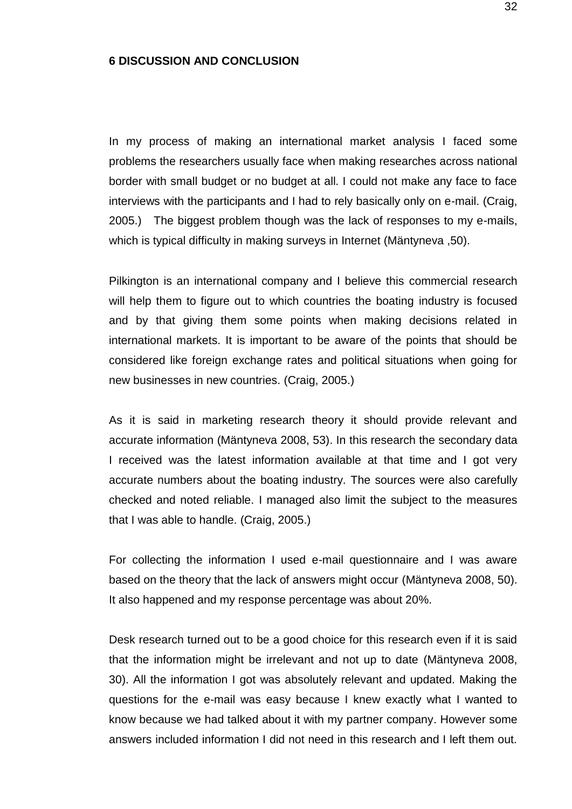#### <span id="page-31-0"></span>**6 DISCUSSION AND CONCLUSION**

In my process of making an international market analysis I faced some problems the researchers usually face when making researches across national border with small budget or no budget at all. I could not make any face to face interviews with the participants and I had to rely basically only on e-mail. (Craig, 2005.) The biggest problem though was the lack of responses to my e-mails, which is typical difficulty in making surveys in Internet (Mäntyneva ,50).

Pilkington is an international company and I believe this commercial research will help them to figure out to which countries the boating industry is focused and by that giving them some points when making decisions related in international markets. It is important to be aware of the points that should be considered like foreign exchange rates and political situations when going for new businesses in new countries. (Craig, 2005.)

As it is said in marketing research theory it should provide relevant and accurate information (Mäntyneva 2008, 53). In this research the secondary data I received was the latest information available at that time and I got very accurate numbers about the boating industry. The sources were also carefully checked and noted reliable. I managed also limit the subject to the measures that I was able to handle. (Craig, 2005.)

For collecting the information I used e-mail questionnaire and I was aware based on the theory that the lack of answers might occur (Mäntyneva 2008, 50). It also happened and my response percentage was about 20%.

Desk research turned out to be a good choice for this research even if it is said that the information might be irrelevant and not up to date (Mäntyneva 2008, 30). All the information I got was absolutely relevant and updated. Making the questions for the e-mail was easy because I knew exactly what I wanted to know because we had talked about it with my partner company. However some answers included information I did not need in this research and I left them out.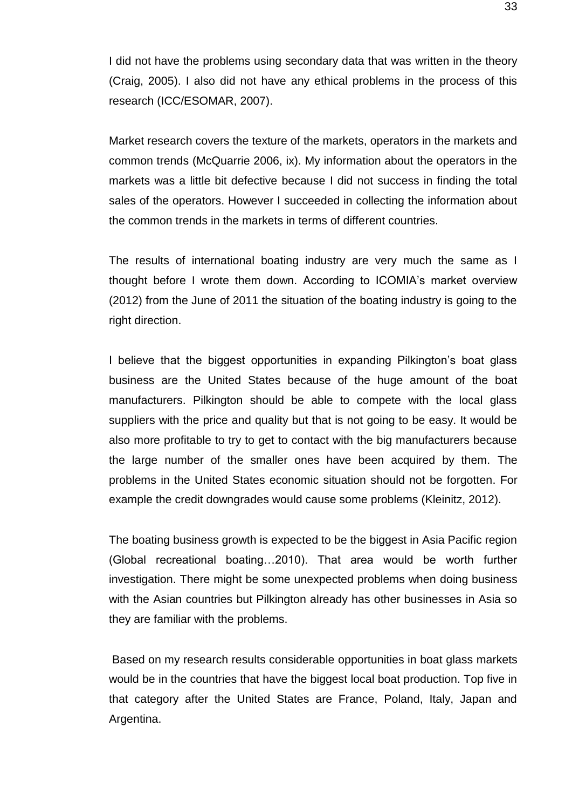I did not have the problems using secondary data that was written in the theory (Craig, 2005). I also did not have any ethical problems in the process of this research (ICC/ESOMAR, 2007).

Market research covers the texture of the markets, operators in the markets and common trends (McQuarrie 2006, ix). My information about the operators in the markets was a little bit defective because I did not success in finding the total sales of the operators. However I succeeded in collecting the information about the common trends in the markets in terms of different countries.

The results of international boating industry are very much the same as I thought before I wrote them down. According to ICOMIA's market overview (2012) from the June of 2011 the situation of the boating industry is going to the right direction.

I believe that the biggest opportunities in expanding Pilkington's boat glass business are the United States because of the huge amount of the boat manufacturers. Pilkington should be able to compete with the local glass suppliers with the price and quality but that is not going to be easy. It would be also more profitable to try to get to contact with the big manufacturers because the large number of the smaller ones have been acquired by them. The problems in the United States economic situation should not be forgotten. For example the credit downgrades would cause some problems (Kleinitz, 2012).

The boating business growth is expected to be the biggest in Asia Pacific region (Global recreational boating…2010). That area would be worth further investigation. There might be some unexpected problems when doing business with the Asian countries but Pilkington already has other businesses in Asia so they are familiar with the problems.

Based on my research results considerable opportunities in boat glass markets would be in the countries that have the biggest local boat production. Top five in that category after the United States are France, Poland, Italy, Japan and Argentina.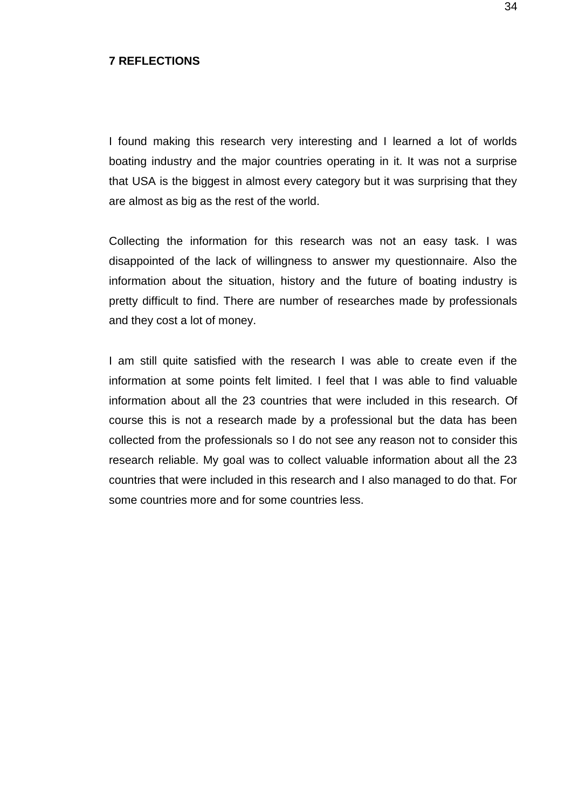#### <span id="page-33-0"></span>**7 REFLECTIONS**

I found making this research very interesting and I learned a lot of worlds boating industry and the major countries operating in it. It was not a surprise that USA is the biggest in almost every category but it was surprising that they are almost as big as the rest of the world.

Collecting the information for this research was not an easy task. I was disappointed of the lack of willingness to answer my questionnaire. Also the information about the situation, history and the future of boating industry is pretty difficult to find. There are number of researches made by professionals and they cost a lot of money.

I am still quite satisfied with the research I was able to create even if the information at some points felt limited. I feel that I was able to find valuable information about all the 23 countries that were included in this research. Of course this is not a research made by a professional but the data has been collected from the professionals so I do not see any reason not to consider this research reliable. My goal was to collect valuable information about all the 23 countries that were included in this research and I also managed to do that. For some countries more and for some countries less.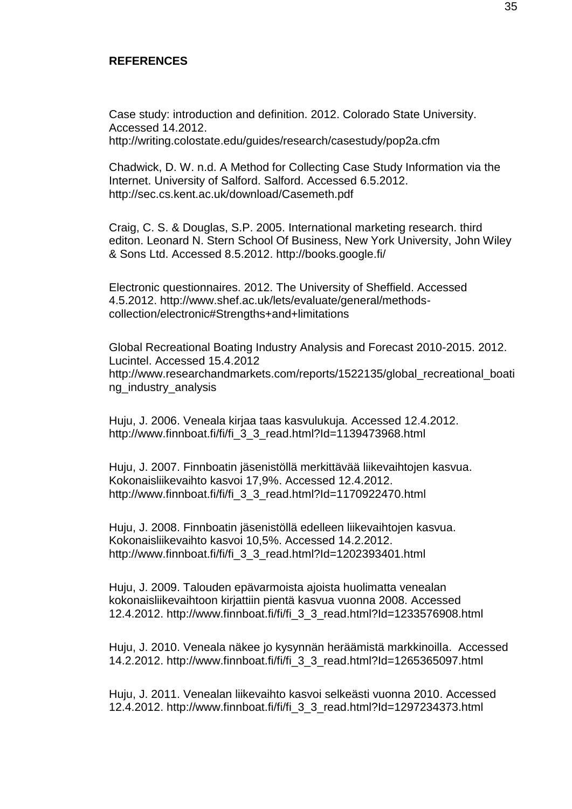#### <span id="page-34-0"></span>**REFERENCES**

Case study: introduction and definition. 2012. Colorado State University. Accessed 14.2012. http://writing.colostate.edu/guides/research/casestudy/pop2a.cfm

Chadwick, D. W. n.d. A Method for Collecting Case Study Information via the Internet. University of Salford. Salford. Accessed 6.5.2012. <http://sec.cs.kent.ac.uk/download/Casemeth.pdf>

Craig, C. S. & Douglas, S.P. 2005. International marketing research. third editon. Leonard N. Stern School Of Business, New York University, John Wiley & Sons Ltd. Accessed 8.5.2012. http://books.google.fi/

Electronic questionnaires. 2012. The University of Sheffield. Accessed 4.5.2012. http://www.shef.ac.uk/lets/evaluate/general/methodscollection/electronic#Strengths+and+limitations

Global Recreational Boating Industry Analysis and Forecast 2010-2015. 2012. Lucintel. Accessed 15.4.2012 http://www.researchandmarkets.com/reports/1522135/global\_recreational\_boati ng\_industry\_analysis

Huju, J. 2006. Veneala kirjaa taas kasvulukuja. Accessed 12.4.2012. http://www.finnboat.fi/fi/fi\_3\_3\_read.html?Id=1139473968.html

Huju, J. 2007. Finnboatin jäsenistöllä merkittävää liikevaihtojen kasvua. Kokonaisliikevaihto kasvoi 17,9%. Accessed 12.4.2012. http://www.finnboat.fi/fi/fi\_3\_3\_read.html?Id=1170922470.html

Huju, J. 2008. Finnboatin jäsenistöllä edelleen liikevaihtojen kasvua. Kokonaisliikevaihto kasvoi 10,5%. Accessed 14.2.2012. http://www.finnboat.fi/fi/fi\_3\_3\_read.html?Id=1202393401.html

Huju, J. 2009. Talouden epävarmoista ajoista huolimatta venealan kokonaisliikevaihtoon kirjattiin pientä kasvua vuonna 2008. Accessed 12.4.2012. http://www.finnboat.fi/fi/fi\_3\_3\_read.html?Id=1233576908.html

Huju, J. 2010. Veneala näkee jo kysynnän heräämistä markkinoilla. Accessed 14.2.2012. http://www.finnboat.fi/fi/fi\_3\_3\_read.html?Id=1265365097.html

Huju, J. 2011. Venealan liikevaihto kasvoi selkeästi vuonna 2010. Accessed 12.4.2012. http://www.finnboat.fi/fi/fi\_3\_3\_read.html?Id=1297234373.html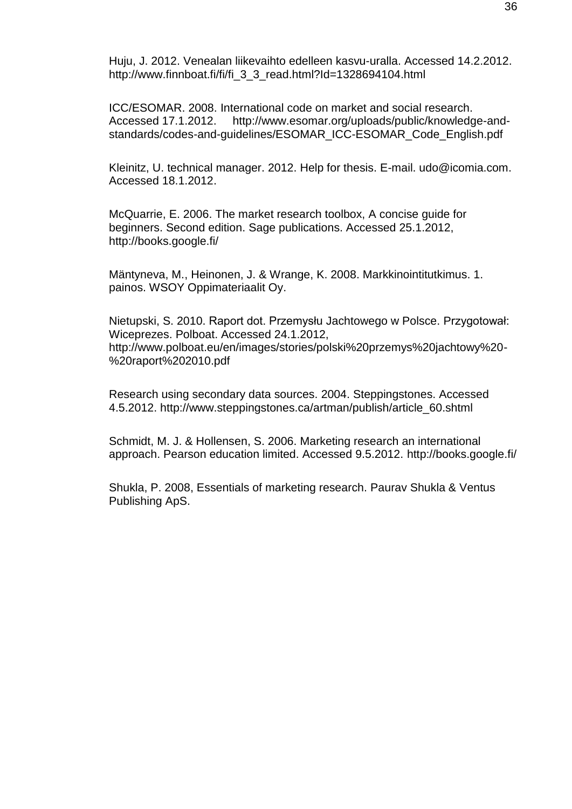Huju, J. 2012. Venealan liikevaihto edelleen kasvu-uralla. Accessed 14.2.2012. http://www.finnboat.fi/fi/fi\_3\_3\_read.html?Id=1328694104.html

ICC/ESOMAR. 2008. International code on market and social research. Accessed 17.1.2012. http://www.esomar.org/uploads/public/knowledge-andstandards/codes-and-guidelines/ESOMAR\_ICC-ESOMAR\_Code\_English.pdf

Kleinitz, U. technical manager. 2012. Help for thesis. E-mail. udo@icomia.com. Accessed 18.1.2012.

McQuarrie, E. 2006. The market research toolbox, A concise guide for beginners. Second edition. Sage publications. Accessed 25.1.2012, http://books.google.fi/

Mäntyneva, M., Heinonen, J. & Wrange, K. 2008. Markkinointitutkimus. 1. painos. WSOY Oppimateriaalit Oy.

Nietupski, S. 2010. Raport dot. Przemysłu Jachtowego w Polsce. Przygotował: Wiceprezes. Polboat. Accessed 24.1.2012, http://www.polboat.eu/en/images/stories/polski%20przemys%20jachtowy%20- %20raport%202010.pdf

Research using secondary data sources. 2004. Steppingstones. Accessed 4.5.2012. http://www.steppingstones.ca/artman/publish/article\_60.shtml

Schmidt, M. J. & Hollensen, S. 2006. Marketing research an international approach. Pearson education limited. Accessed 9.5.2012. http://books.google.fi/

Shukla, P. 2008, Essentials of marketing research. Paurav Shukla & Ventus Publishing ApS.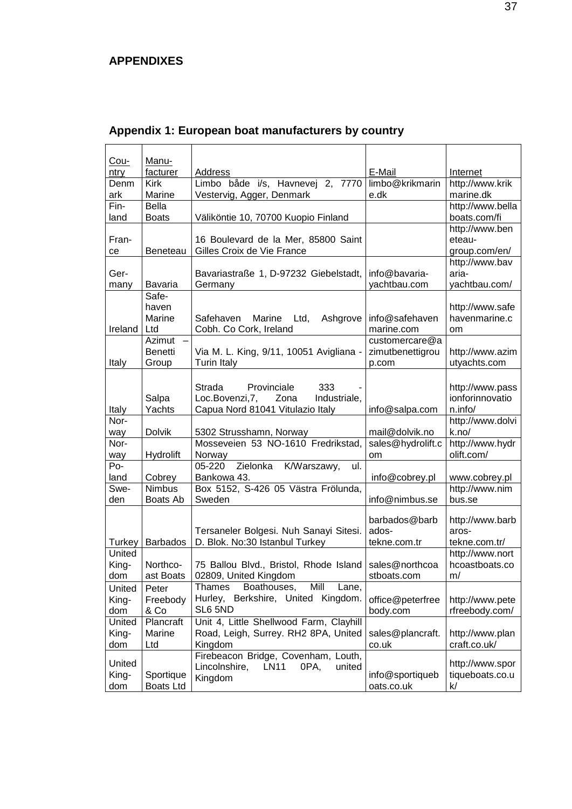# <span id="page-36-0"></span>**APPENDIXES**

| Cou-<br>ntry     | Manu-<br>facturer | Address                                        | E-Mail                  | Internet                         |
|------------------|-------------------|------------------------------------------------|-------------------------|----------------------------------|
| Denm             | Kirk              | Limbo både i/s, Havnevej 2, 7770               | limbo@krikmarin         | http://www.krik                  |
| ark              | Marine            | Vestervig, Agger, Denmark                      | e.dk                    | marine.dk                        |
| Fin-             | Bella             |                                                |                         | http://www.bella                 |
| land             | <b>Boats</b>      | Väliköntie 10, 70700 Kuopio Finland            |                         | boats.com/fi                     |
|                  |                   |                                                |                         | http://www.ben                   |
| Fran-            |                   | 16 Boulevard de la Mer, 85800 Saint            |                         | eteau-                           |
| ce               | Beneteau          | Gilles Croix de Vie France                     |                         | group.com/en/                    |
|                  |                   |                                                |                         | http://www.bav                   |
| Ger-             |                   | Bavariastraße 1, D-97232 Giebelstadt,          | info@bavaria-           | aria-                            |
| many             | Bavaria           | Germany                                        | yachtbau.com            | yachtbau.com/                    |
|                  | Safe-<br>haven    |                                                |                         | http://www.safe                  |
|                  | Marine            | Marine<br>Ltd,<br>Ashgrove<br>Safehaven        | info@safehaven          | havenmarine.c                    |
| Ireland          | Ltd               | Cobh. Co Cork, Ireland                         | marine.com              | om                               |
|                  | Azimut            |                                                | customercare@a          |                                  |
|                  | Benetti           | Via M. L. King, 9/11, 10051 Avigliana -        | zimutbenettigrou        | http://www.azim                  |
| Italy            | Group             | <b>Turin Italy</b>                             | p.com                   | utyachts.com                     |
|                  |                   |                                                |                         |                                  |
|                  |                   | Strada<br>Provinciale<br>333                   |                         | http://www.pass                  |
|                  | Salpa             | Loc.Bovenzi, 7,<br>Zona<br>Industriale,        |                         | ionforinnovatio                  |
| Italy            | Yachts            | Capua Nord 81041 Vitulazio Italy               | info@salpa.com          | n.info/                          |
| Nor-             |                   |                                                |                         | http://www.dolvi                 |
| way              | <b>Dolvik</b>     | 5302 Strusshamn, Norway                        | mail@dolvik.no          | k.no/                            |
| Nor-<br>way      | Hydrolift         | Mosseveien 53 NO-1610 Fredrikstad,<br>Norway   | sales@hydrolift.c<br>om | http://www.hydr<br>olift.com/    |
| Po-              |                   | Zielonka K/Warszawy,<br>05-220<br>ul.          |                         |                                  |
| land             | Cobrey            | Bankowa 43.                                    | info@cobrey.pl          | www.cobrey.pl                    |
| Swe-             | <b>Nimbus</b>     | Box 5152, S-426 05 Västra Frölunda,            |                         | http://www.nim                   |
| den              | Boats Ab          | Sweden                                         | info@nimbus.se          | bus.se                           |
|                  |                   |                                                |                         |                                  |
|                  |                   |                                                | barbados@barb           | http://www.barb                  |
|                  |                   | Tersaneler Bolgesi. Nuh Sanayi Sitesi.         | ados-                   | aros-                            |
| Turkey<br>United | <b>Barbados</b>   | D. Blok. No:30 Istanbul Turkey                 | tekne.com.tr            | tekne.com.tr/<br>http://www.nort |
| King-            | Northco-          | 75 Ballou Blvd., Bristol, Rhode Island         | sales@northcoa          | hcoastboats.co                   |
| dom              | ast Boats         | 02809. United Kingdom                          | stboats.com             | m/                               |
| United           | Peter             | Mill<br>Boathouses,<br>Thames<br>Lane,         |                         |                                  |
| King-            | Freebody          | Hurley, Berkshire, United Kingdom.             | office@peterfree        | http://www.pete                  |
| dom              | & Co              | SL6 5ND                                        | body.com                | rfreebody.com/                   |
| United           | Plancraft         | Unit 4, Little Shellwood Farm, Clayhill        |                         |                                  |
| King-            | Marine            | Road, Leigh, Surrey. RH2 8PA, United           | sales@plancraft.        | http://www.plan                  |
| dom              | Ltd               | Kingdom                                        | co.uk                   | craft.co.uk/                     |
| United           |                   | Firebeacon Bridge, Covenham, Louth,            |                         | http://www.spor                  |
| King-            | Sportique         | Lincolnshire,<br><b>LN11</b><br>united<br>0PA, | info@sportiqueb         | tiqueboats.co.u                  |
| dom              | <b>Boats Ltd</b>  | Kingdom                                        | oats.co.uk              | k/                               |

# <span id="page-36-1"></span>**Appendix 1: European boat manufacturers by country**